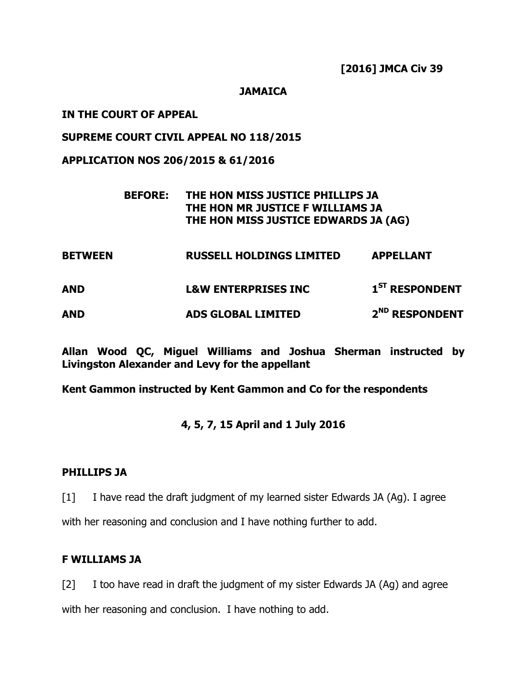#### **JAMAICA**

#### **IN THE COURT OF APPEAL**

#### **SUPREME COURT CIVIL APPEAL NO 118/2015**

**APPLICATION NOS 206/2015 & 61/2016**

| <b>BEFORE:</b> | THE HON MISS JUSTICE PHILLIPS JA     |
|----------------|--------------------------------------|
|                | THE HON MR JUSTICE F WILLIAMS JA     |
|                | THE HON MISS JUSTICE EDWARDS JA (AG) |

**BETWEEN RUSSELL HOLDINGS LIMITED APPELLANT**

**AND L&W ENTERPRISES INC 1 ST RESPONDENT**

**AND ADS GLOBAL LIMITED 2 ND RESPONDENT**

**Allan Wood QC, Miguel Williams and Joshua Sherman instructed by Livingston Alexander and Levy for the appellant**

**Kent Gammon instructed by Kent Gammon and Co for the respondents**

#### **4, 5, 7, 15 April and 1 July 2016**

#### **PHILLIPS JA**

[1] I have read the draft judgment of my learned sister Edwards JA (Ag). I agree

with her reasoning and conclusion and I have nothing further to add.

#### **F WILLIAMS JA**

[2] I too have read in draft the judgment of my sister Edwards JA (Ag) and agree with her reasoning and conclusion. I have nothing to add.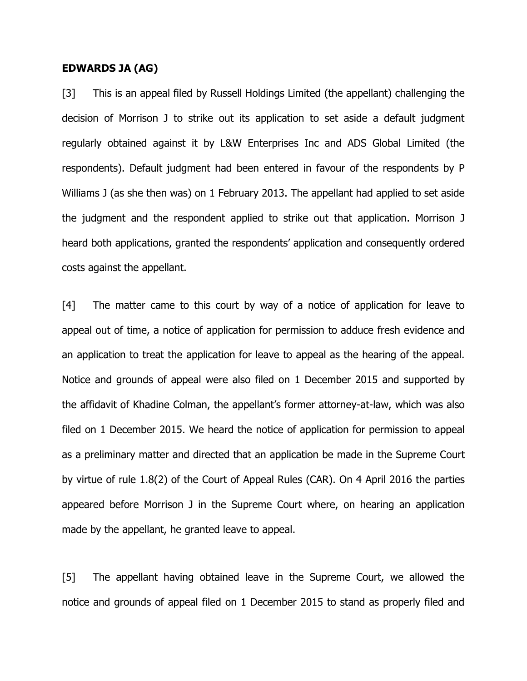#### **EDWARDS JA (AG)**

[3] This is an appeal filed by Russell Holdings Limited (the appellant) challenging the decision of Morrison J to strike out its application to set aside a default judgment regularly obtained against it by L&W Enterprises Inc and ADS Global Limited (the respondents). Default judgment had been entered in favour of the respondents by P Williams J (as she then was) on 1 February 2013. The appellant had applied to set aside the judgment and the respondent applied to strike out that application. Morrison J heard both applications, granted the respondents' application and consequently ordered costs against the appellant.

[4] The matter came to this court by way of a notice of application for leave to appeal out of time, a notice of application for permission to adduce fresh evidence and an application to treat the application for leave to appeal as the hearing of the appeal. Notice and grounds of appeal were also filed on 1 December 2015 and supported by the affidavit of Khadine Colman, the appellant"s former attorney-at-law, which was also filed on 1 December 2015. We heard the notice of application for permission to appeal as a preliminary matter and directed that an application be made in the Supreme Court by virtue of rule 1.8(2) of the Court of Appeal Rules (CAR). On 4 April 2016 the parties appeared before Morrison J in the Supreme Court where, on hearing an application made by the appellant, he granted leave to appeal.

[5] The appellant having obtained leave in the Supreme Court, we allowed the notice and grounds of appeal filed on 1 December 2015 to stand as properly filed and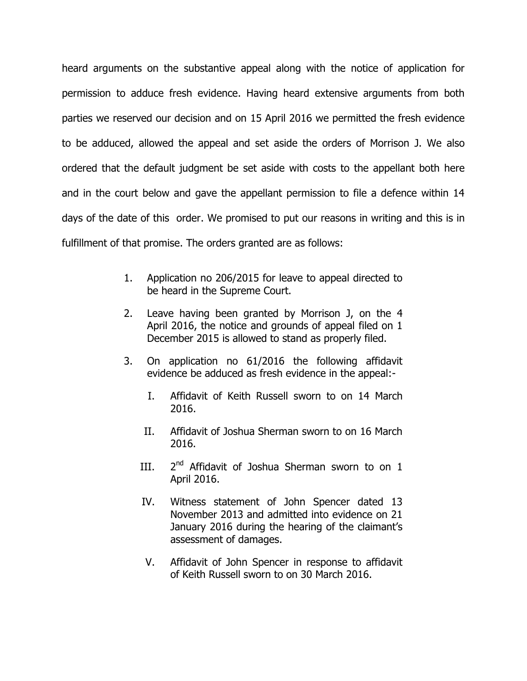heard arguments on the substantive appeal along with the notice of application for permission to adduce fresh evidence. Having heard extensive arguments from both parties we reserved our decision and on 15 April 2016 we permitted the fresh evidence to be adduced, allowed the appeal and set aside the orders of Morrison J. We also ordered that the default judgment be set aside with costs to the appellant both here and in the court below and gave the appellant permission to file a defence within 14 days of the date of this order. We promised to put our reasons in writing and this is in fulfillment of that promise. The orders granted are as follows:

- 1. Application no 206/2015 for leave to appeal directed to be heard in the Supreme Court.
- 2. Leave having been granted by Morrison J, on the 4 April 2016, the notice and grounds of appeal filed on 1 December 2015 is allowed to stand as properly filed.
- 3. On application no 61/2016 the following affidavit evidence be adduced as fresh evidence in the appeal:-
	- I. Affidavit of Keith Russell sworn to on 14 March 2016.
	- II. Affidavit of Joshua Sherman sworn to on 16 March 2016.
	- $III.$  $2<sup>nd</sup>$  Affidavit of Joshua Sherman sworn to on 1 April 2016.
	- IV. Witness statement of John Spencer dated 13 November 2013 and admitted into evidence on 21 January 2016 during the hearing of the claimant's assessment of damages.
	- V. Affidavit of John Spencer in response to affidavit of Keith Russell sworn to on 30 March 2016.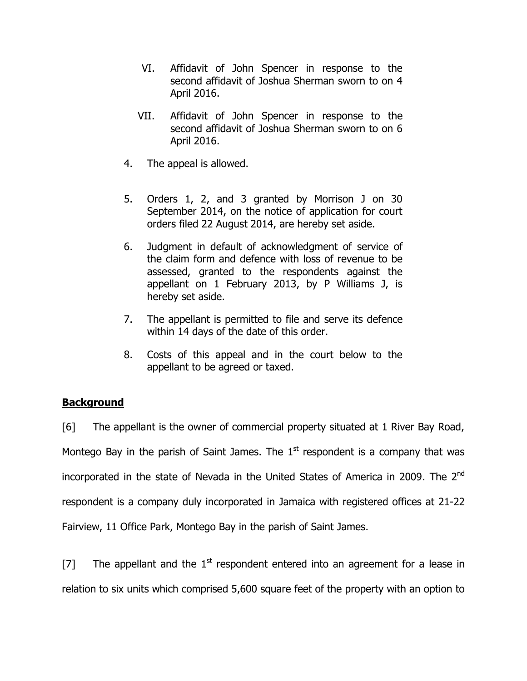- VI. Affidavit of John Spencer in response to the second affidavit of Joshua Sherman sworn to on 4 April 2016.
- VII. Affidavit of John Spencer in response to the second affidavit of Joshua Sherman sworn to on 6 April 2016.
- 4. The appeal is allowed.
- 5. Orders 1, 2, and 3 granted by Morrison J on 30 September 2014, on the notice of application for court orders filed 22 August 2014, are hereby set aside.
- 6. Judgment in default of acknowledgment of service of the claim form and defence with loss of revenue to be assessed, granted to the respondents against the appellant on 1 February 2013, by P Williams J, is hereby set aside.
- 7. The appellant is permitted to file and serve its defence within 14 days of the date of this order.
- 8. Costs of this appeal and in the court below to the appellant to be agreed or taxed.

## **Background**

[6] The appellant is the owner of commercial property situated at 1 River Bay Road, Montego Bay in the parish of Saint James. The  $1<sup>st</sup>$  respondent is a company that was incorporated in the state of Nevada in the United States of America in 2009. The 2<sup>nd</sup> respondent is a company duly incorporated in Jamaica with registered offices at 21-22 Fairview, 11 Office Park, Montego Bay in the parish of Saint James.

[7] The appellant and the  $1<sup>st</sup>$  respondent entered into an agreement for a lease in relation to six units which comprised 5,600 square feet of the property with an option to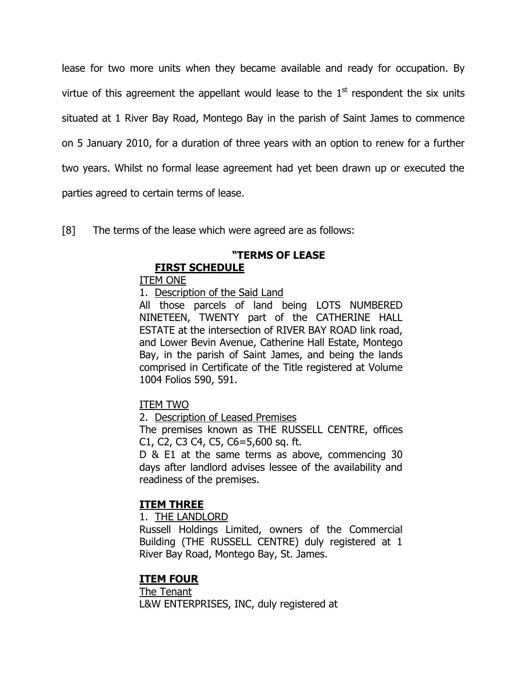lease for two more units when they became available and ready for occupation. By virtue of this agreement the appellant would lease to the  $1<sup>st</sup>$  respondent the six units situated at 1 River Bay Road, Montego Bay in the parish of Saint James to commence on 5 January 2010, for a duration of three years with an option to renew for a further two years. Whilst no formal lease agreement had yet been drawn up or executed the parties agreed to certain terms of lease.

[8] The terms of the lease which were agreed are as follows:

## **"TERMS OF LEASE**

## **FIRST SCHEDULE**

## ITEM ONE

1. Description of the Said Land

All those parcels of land being LOTS NUMBERED NINETEEN, TWENTY part of the CATHERINE HALL ESTATE at the intersection of RIVER BAY ROAD link road, and Lower Bevin Avenue, Catherine Hall Estate, Montego Bay, in the parish of Saint James, and being the lands comprised in Certificate of the Title registered at Volume 1004 Folios 590, 591.

## ITEM TWO

2. Description of Leased Premises

The premises known as THE RUSSELL CENTRE, offices C1, C2, C3 C4, C5, C6=5,600 sq. ft.

D & E1 at the same terms as above, commencing 30 days after landlord advises lessee of the availability and readiness of the premises.

## **ITEM THREE**

1. THE LANDLORD

Russell Holdings Limited, owners of the Commercial Building (THE RUSSELL CENTRE) duly registered at 1 River Bay Road, Montego Bay, St. James.

## **ITEM FOUR**

The Tenant L&W ENTERPRISES, INC, duly registered at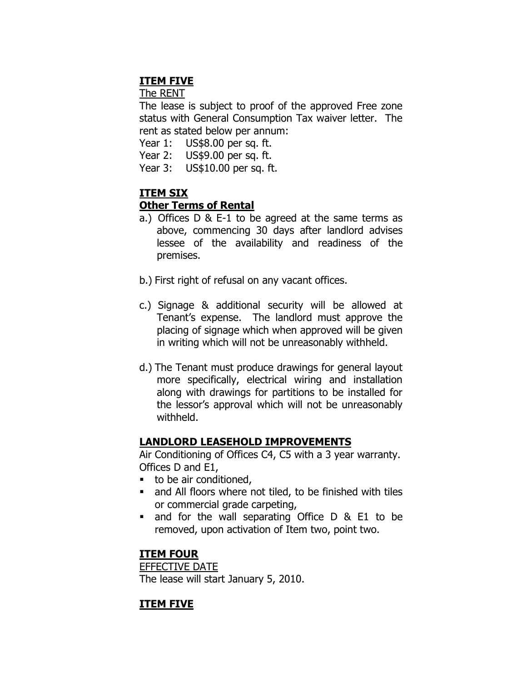## **ITEM FIVE**

The RENT

The lease is subject to proof of the approved Free zone status with General Consumption Tax waiver letter. The rent as stated below per annum:

Year 1: US\$8.00 per sq. ft.

Year 2: US\$9.00 per sq. ft.

Year 3: US\$10.00 per sq. ft.

## **ITEM SIX**

## **Other Terms of Rental**

- a.) Offices D & E-1 to be agreed at the same terms as above, commencing 30 days after landlord advises lessee of the availability and readiness of the premises.
- b.) First right of refusal on any vacant offices.
- c.) Signage & additional security will be allowed at Tenant"s expense. The landlord must approve the placing of signage which when approved will be given in writing which will not be unreasonably withheld.
- d.) The Tenant must produce drawings for general layout more specifically, electrical wiring and installation along with drawings for partitions to be installed for the lessor"s approval which will not be unreasonably withheld.

## **LANDLORD LEASEHOLD IMPROVEMENTS**

Air Conditioning of Offices C4, C5 with a 3 year warranty. Offices D and E1,

- $\blacksquare$  to be air conditioned.
- and All floors where not tiled, to be finished with tiles or commercial grade carpeting,
- and for the wall separating Office D & E1 to be removed, upon activation of Item two, point two.

## **ITEM FOUR**

EFFECTIVE DATE The lease will start January 5, 2010.

## **ITEM FIVE**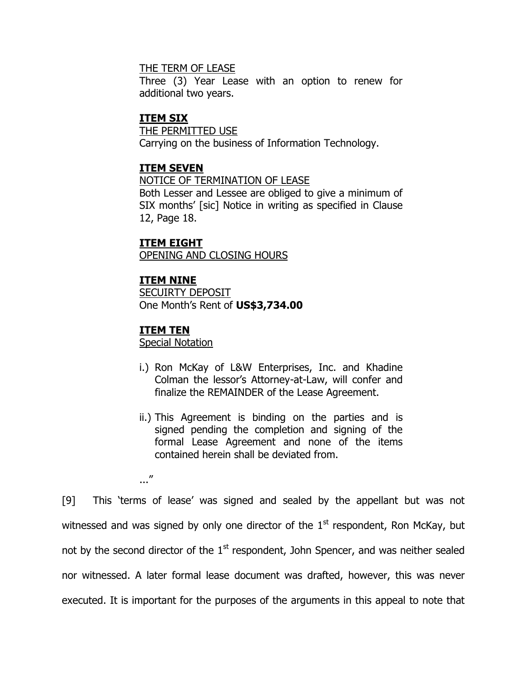#### THE TERM OF LEASE

Three (3) Year Lease with an option to renew for additional two years.

#### **ITEM SIX**

THE PERMITTED USE Carrying on the business of Information Technology.

#### **ITEM SEVEN**

NOTICE OF TERMINATION OF LEASE Both Lesser and Lessee are obliged to give a minimum of SIX months' [sic] Notice in writing as specified in Clause 12, Page 18.

# **ITEM EIGHT**

OPENING AND CLOSING HOURS

#### **ITEM NINE**

SECUIRTY DEPOSIT One Month"s Rent of **US\$3,734.00**

#### **ITEM TEN**

..."

Special Notation

- i.) Ron McKay of L&W Enterprises, Inc. and Khadine Colman the lessor's Attorney-at-Law, will confer and finalize the REMAINDER of the Lease Agreement.
- ii.) This Agreement is binding on the parties and is signed pending the completion and signing of the formal Lease Agreement and none of the items contained herein shall be deviated from.

[9] This "terms of lease" was signed and sealed by the appellant but was not witnessed and was signed by only one director of the  $1<sup>st</sup>$  respondent, Ron McKay, but not by the second director of the  $1<sup>st</sup>$  respondent, John Spencer, and was neither sealed nor witnessed. A later formal lease document was drafted, however, this was never executed. It is important for the purposes of the arguments in this appeal to note that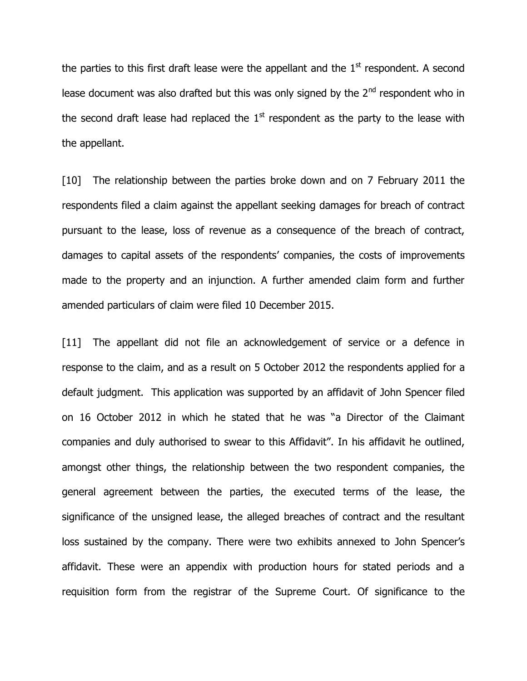the parties to this first draft lease were the appellant and the  $1<sup>st</sup>$  respondent. A second lease document was also drafted but this was only signed by the  $2<sup>nd</sup>$  respondent who in the second draft lease had replaced the  $1<sup>st</sup>$  respondent as the party to the lease with the appellant.

[10] The relationship between the parties broke down and on 7 February 2011 the respondents filed a claim against the appellant seeking damages for breach of contract pursuant to the lease, loss of revenue as a consequence of the breach of contract, damages to capital assets of the respondents" companies, the costs of improvements made to the property and an injunction. A further amended claim form and further amended particulars of claim were filed 10 December 2015.

[11] The appellant did not file an acknowledgement of service or a defence in response to the claim, and as a result on 5 October 2012 the respondents applied for a default judgment. This application was supported by an affidavit of John Spencer filed on 16 October 2012 in which he stated that he was "a Director of the Claimant companies and duly authorised to swear to this Affidavit". In his affidavit he outlined, amongst other things, the relationship between the two respondent companies, the general agreement between the parties, the executed terms of the lease, the significance of the unsigned lease, the alleged breaches of contract and the resultant loss sustained by the company. There were two exhibits annexed to John Spencer"s affidavit. These were an appendix with production hours for stated periods and a requisition form from the registrar of the Supreme Court. Of significance to the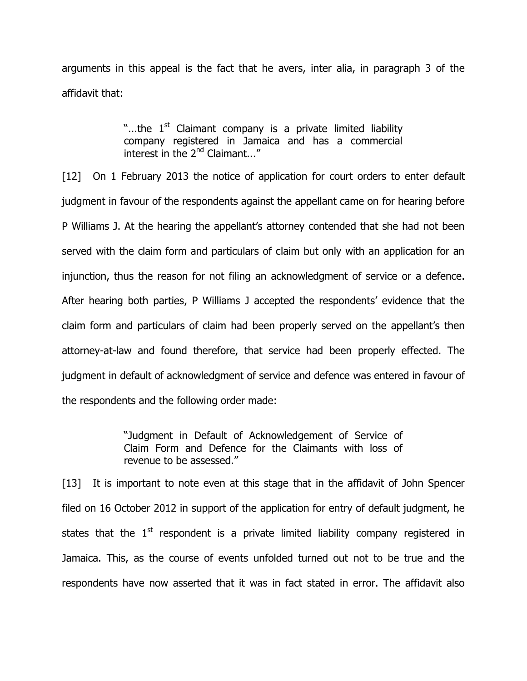arguments in this appeal is the fact that he avers, inter alia, in paragraph 3 of the affidavit that:

> "...the 1<sup>st</sup> Claimant company is a private limited liability company registered in Jamaica and has a commercial interest in the 2<sup>nd</sup> Claimant..."

[12] On 1 February 2013 the notice of application for court orders to enter default judgment in favour of the respondents against the appellant came on for hearing before P Williams J. At the hearing the appellant"s attorney contended that she had not been served with the claim form and particulars of claim but only with an application for an injunction, thus the reason for not filing an acknowledgment of service or a defence. After hearing both parties, P Williams J accepted the respondents" evidence that the claim form and particulars of claim had been properly served on the appellant's then attorney-at-law and found therefore, that service had been properly effected. The judgment in default of acknowledgment of service and defence was entered in favour of the respondents and the following order made:

> "Judgment in Default of Acknowledgement of Service of Claim Form and Defence for the Claimants with loss of revenue to be assessed."

[13] It is important to note even at this stage that in the affidavit of John Spencer filed on 16 October 2012 in support of the application for entry of default judgment, he states that the  $1<sup>st</sup>$  respondent is a private limited liability company registered in Jamaica. This, as the course of events unfolded turned out not to be true and the respondents have now asserted that it was in fact stated in error. The affidavit also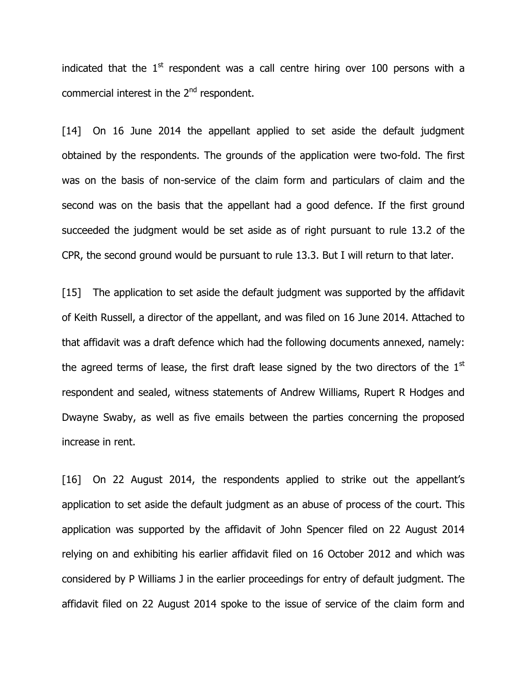indicated that the  $1<sup>st</sup>$  respondent was a call centre hiring over 100 persons with a commercial interest in the 2<sup>nd</sup> respondent.

[14] On 16 June 2014 the appellant applied to set aside the default judgment obtained by the respondents. The grounds of the application were two-fold. The first was on the basis of non-service of the claim form and particulars of claim and the second was on the basis that the appellant had a good defence. If the first ground succeeded the judgment would be set aside as of right pursuant to rule 13.2 of the CPR, the second ground would be pursuant to rule 13.3. But I will return to that later.

[15] The application to set aside the default judgment was supported by the affidavit of Keith Russell, a director of the appellant, and was filed on 16 June 2014. Attached to that affidavit was a draft defence which had the following documents annexed, namely: the agreed terms of lease, the first draft lease signed by the two directors of the  $1<sup>st</sup>$ respondent and sealed, witness statements of Andrew Williams, Rupert R Hodges and Dwayne Swaby, as well as five emails between the parties concerning the proposed increase in rent.

[16] On 22 August 2014, the respondents applied to strike out the appellant's application to set aside the default judgment as an abuse of process of the court. This application was supported by the affidavit of John Spencer filed on 22 August 2014 relying on and exhibiting his earlier affidavit filed on 16 October 2012 and which was considered by P Williams J in the earlier proceedings for entry of default judgment. The affidavit filed on 22 August 2014 spoke to the issue of service of the claim form and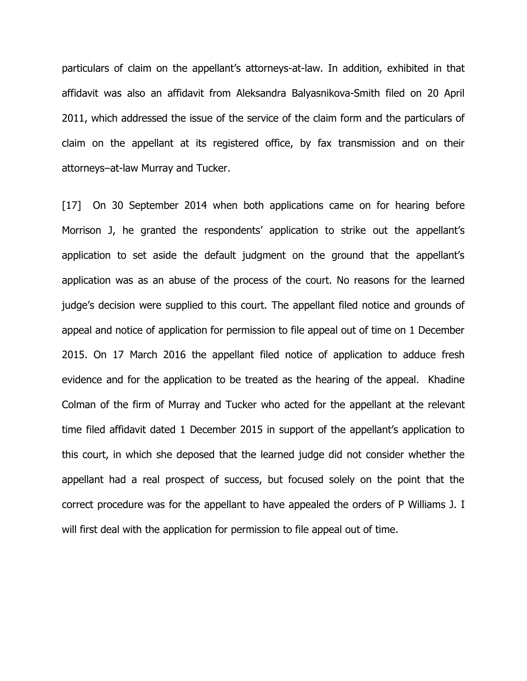particulars of claim on the appellant"s attorneys-at-law. In addition, exhibited in that affidavit was also an affidavit from Aleksandra Balyasnikova-Smith filed on 20 April 2011, which addressed the issue of the service of the claim form and the particulars of claim on the appellant at its registered office, by fax transmission and on their attorneys–at-law Murray and Tucker.

[17] On 30 September 2014 when both applications came on for hearing before Morrison J, he granted the respondents' application to strike out the appellant's application to set aside the default judgment on the ground that the appellant"s application was as an abuse of the process of the court. No reasons for the learned judge"s decision were supplied to this court. The appellant filed notice and grounds of appeal and notice of application for permission to file appeal out of time on 1 December 2015. On 17 March 2016 the appellant filed notice of application to adduce fresh evidence and for the application to be treated as the hearing of the appeal. Khadine Colman of the firm of Murray and Tucker who acted for the appellant at the relevant time filed affidavit dated 1 December 2015 in support of the appellant's application to this court, in which she deposed that the learned judge did not consider whether the appellant had a real prospect of success, but focused solely on the point that the correct procedure was for the appellant to have appealed the orders of P Williams J. I will first deal with the application for permission to file appeal out of time.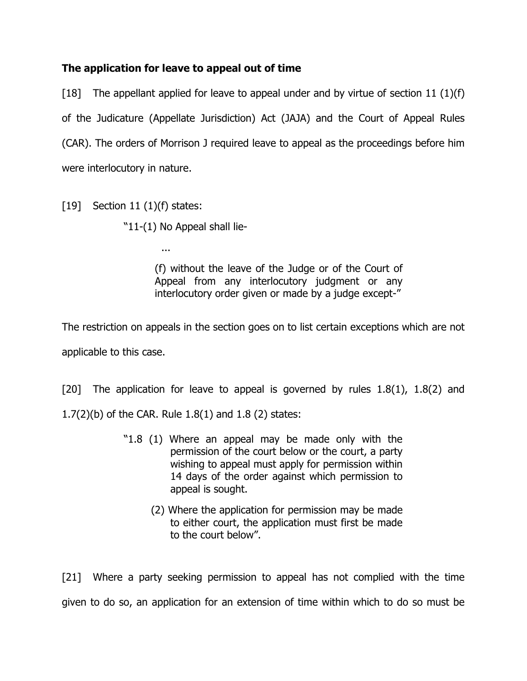## **The application for leave to appeal out of time**

[18] The appellant applied for leave to appeal under and by virtue of section 11 (1)(f) of the Judicature (Appellate Jurisdiction) Act (JAJA) and the Court of Appeal Rules (CAR). The orders of Morrison J required leave to appeal as the proceedings before him were interlocutory in nature.

[19] Section 11  $(1)(f)$  states:

"11-(1) No Appeal shall lie-

...

(f) without the leave of the Judge or of the Court of Appeal from any interlocutory judgment or any interlocutory order given or made by a judge except-"

The restriction on appeals in the section goes on to list certain exceptions which are not applicable to this case.

[20] The application for leave to appeal is governed by rules 1.8(1), 1.8(2) and 1.7(2)(b) of the CAR. Rule 1.8(1) and 1.8 (2) states:

- "1.8 (1) Where an appeal may be made only with the permission of the court below or the court, a party wishing to appeal must apply for permission within 14 days of the order against which permission to appeal is sought.
	- (2) Where the application for permission may be made to either court, the application must first be made to the court below".

[21] Where a party seeking permission to appeal has not complied with the time given to do so, an application for an extension of time within which to do so must be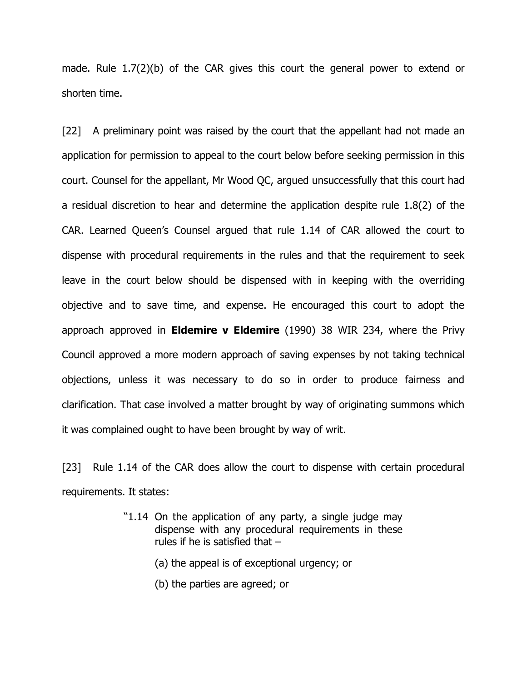made. Rule 1.7(2)(b) of the CAR gives this court the general power to extend or shorten time.

[22] A preliminary point was raised by the court that the appellant had not made an application for permission to appeal to the court below before seeking permission in this court. Counsel for the appellant, Mr Wood QC, argued unsuccessfully that this court had a residual discretion to hear and determine the application despite rule 1.8(2) of the CAR. Learned Queen"s Counsel argued that rule 1.14 of CAR allowed the court to dispense with procedural requirements in the rules and that the requirement to seek leave in the court below should be dispensed with in keeping with the overriding objective and to save time, and expense. He encouraged this court to adopt the approach approved in **Eldemire v Eldemire** (1990) 38 WIR 234, where the Privy Council approved a more modern approach of saving expenses by not taking technical objections, unless it was necessary to do so in order to produce fairness and clarification. That case involved a matter brought by way of originating summons which it was complained ought to have been brought by way of writ.

[23] Rule 1.14 of the CAR does allow the court to dispense with certain procedural requirements. It states:

- "1.14 On the application of any party, a single judge may dispense with any procedural requirements in these rules if he is satisfied that –
	- (a) the appeal is of exceptional urgency; or
	- (b) the parties are agreed; or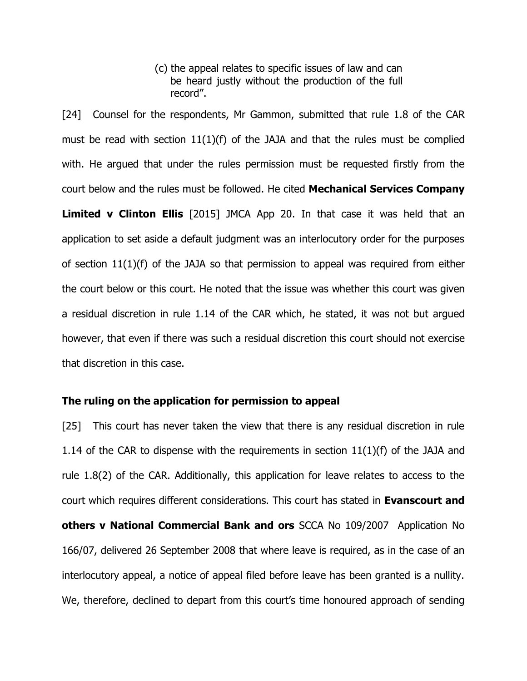(c) the appeal relates to specific issues of law and can be heard justly without the production of the full record".

[24] Counsel for the respondents, Mr Gammon, submitted that rule 1.8 of the CAR must be read with section  $11(1)(f)$  of the JAJA and that the rules must be complied with. He argued that under the rules permission must be requested firstly from the court below and the rules must be followed. He cited **Mechanical Services Company Limited v Clinton Ellis** [2015] JMCA App 20. In that case it was held that an application to set aside a default judgment was an interlocutory order for the purposes of section 11(1)(f) of the JAJA so that permission to appeal was required from either the court below or this court. He noted that the issue was whether this court was given a residual discretion in rule 1.14 of the CAR which, he stated, it was not but argued however, that even if there was such a residual discretion this court should not exercise that discretion in this case.

#### **The ruling on the application for permission to appeal**

[25] This court has never taken the view that there is any residual discretion in rule 1.14 of the CAR to dispense with the requirements in section  $11(1)(f)$  of the JAJA and rule 1.8(2) of the CAR. Additionally, this application for leave relates to access to the court which requires different considerations. This court has stated in **Evanscourt and others v National Commercial Bank and ors** SCCA No 109/2007 Application No 166/07, delivered 26 September 2008 that where leave is required, as in the case of an interlocutory appeal, a notice of appeal filed before leave has been granted is a nullity. We, therefore, declined to depart from this court's time honoured approach of sending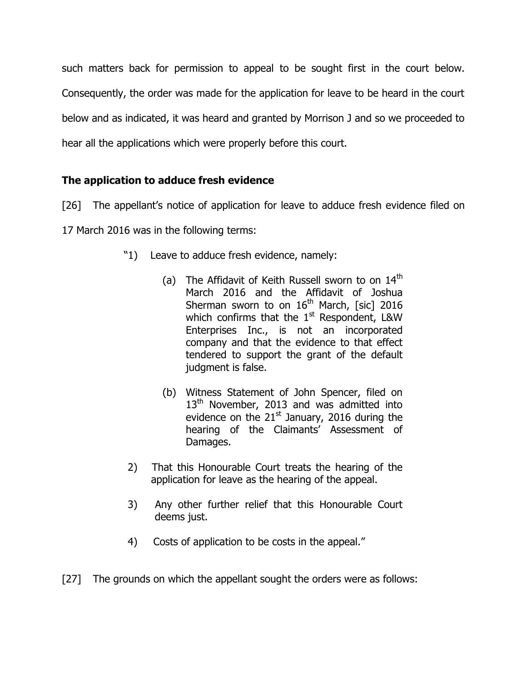such matters back for permission to appeal to be sought first in the court below. Consequently, the order was made for the application for leave to be heard in the court below and as indicated, it was heard and granted by Morrison J and so we proceeded to hear all the applications which were properly before this court.

## **The application to adduce fresh evidence**

[26] The appellant's notice of application for leave to adduce fresh evidence filed on

17 March 2016 was in the following terms:

- "1) Leave to adduce fresh evidence, namely:
	- (a) The Affidavit of Keith Russell sworn to on  $14<sup>th</sup>$ March 2016 and the Affidavit of Joshua Sherman sworn to on  $16<sup>th</sup>$  March, [sic] 2016 which confirms that the  $1<sup>st</sup>$  Respondent, L&W Enterprises Inc., is not an incorporated company and that the evidence to that effect tendered to support the grant of the default judgment is false.
	- (b) Witness Statement of John Spencer, filed on  $13<sup>th</sup>$  November, 2013 and was admitted into evidence on the  $21<sup>st</sup>$  January, 2016 during the hearing of the Claimants' Assessment of Damages.
- 2) That this Honourable Court treats the hearing of the application for leave as the hearing of the appeal.
- 3) Any other further relief that this Honourable Court deems just.
- 4) Costs of application to be costs in the appeal."

[27] The grounds on which the appellant sought the orders were as follows: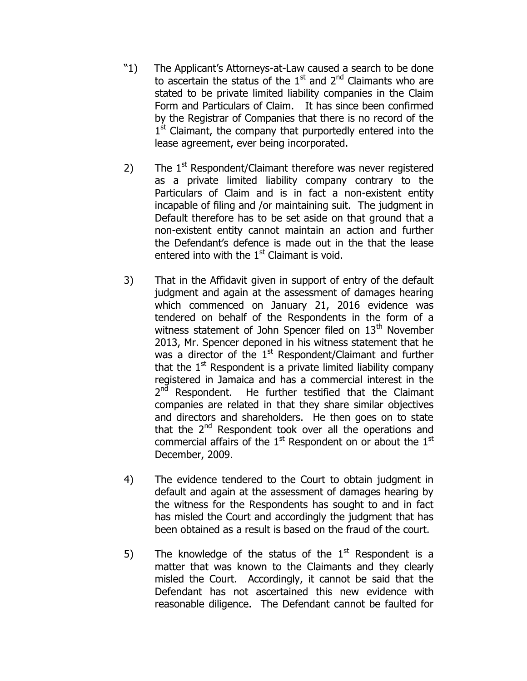- "1) The Applicant"s Attorneys-at-Law caused a search to be done to ascertain the status of the  $1<sup>st</sup>$  and  $2<sup>nd</sup>$  Claimants who are stated to be private limited liability companies in the Claim Form and Particulars of Claim. It has since been confirmed by the Registrar of Companies that there is no record of the 1<sup>st</sup> Claimant, the company that purportedly entered into the lease agreement, ever being incorporated.
- 2) The  $1<sup>st</sup>$  Respondent/Claimant therefore was never registered as a private limited liability company contrary to the Particulars of Claim and is in fact a non-existent entity incapable of filing and /or maintaining suit. The judgment in Default therefore has to be set aside on that ground that a non-existent entity cannot maintain an action and further the Defendant"s defence is made out in the that the lease entered into with the  $1<sup>st</sup>$  Claimant is void.
- 3) That in the Affidavit given in support of entry of the default judgment and again at the assessment of damages hearing which commenced on January 21, 2016 evidence was tendered on behalf of the Respondents in the form of a witness statement of John Spencer filed on  $13<sup>th</sup>$  November 2013, Mr. Spencer deponed in his witness statement that he was a director of the  $1<sup>st</sup>$  Respondent/Claimant and further that the  $1<sup>st</sup>$  Respondent is a private limited liability company registered in Jamaica and has a commercial interest in the 2<sup>nd</sup> Respondent. He further testified that the Claimant companies are related in that they share similar objectives and directors and shareholders. He then goes on to state that the  $2^{nd}$  Respondent took over all the operations and commercial affairs of the  $1<sup>st</sup>$  Respondent on or about the  $1<sup>st</sup>$ December, 2009.
- 4) The evidence tendered to the Court to obtain judgment in default and again at the assessment of damages hearing by the witness for the Respondents has sought to and in fact has misled the Court and accordingly the judgment that has been obtained as a result is based on the fraud of the court.
- 5) The knowledge of the status of the  $1<sup>st</sup>$  Respondent is a matter that was known to the Claimants and they clearly misled the Court. Accordingly, it cannot be said that the Defendant has not ascertained this new evidence with reasonable diligence. The Defendant cannot be faulted for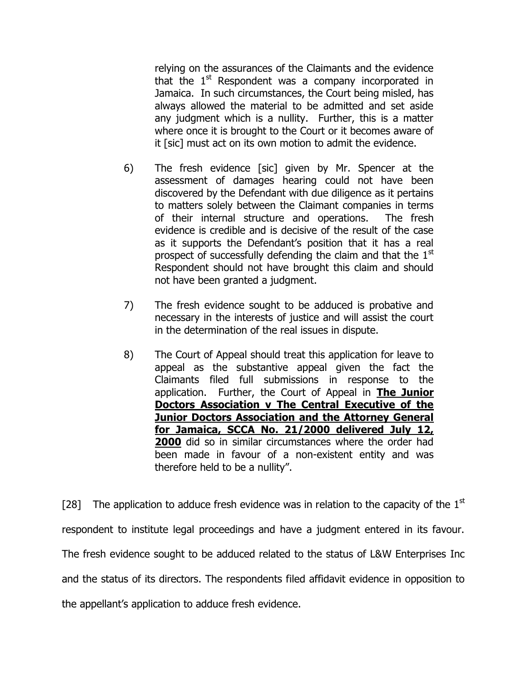relying on the assurances of the Claimants and the evidence that the  $1<sup>st</sup>$  Respondent was a company incorporated in Jamaica. In such circumstances, the Court being misled, has always allowed the material to be admitted and set aside any judgment which is a nullity. Further, this is a matter where once it is brought to the Court or it becomes aware of it [sic] must act on its own motion to admit the evidence.

- 6) The fresh evidence [sic] given by Mr. Spencer at the assessment of damages hearing could not have been discovered by the Defendant with due diligence as it pertains to matters solely between the Claimant companies in terms of their internal structure and operations. The fresh evidence is credible and is decisive of the result of the case as it supports the Defendant"s position that it has a real prospect of successfully defending the claim and that the  $1<sup>st</sup>$ Respondent should not have brought this claim and should not have been granted a judgment.
- 7) The fresh evidence sought to be adduced is probative and necessary in the interests of justice and will assist the court in the determination of the real issues in dispute.
- 8) The Court of Appeal should treat this application for leave to appeal as the substantive appeal given the fact the Claimants filed full submissions in response to the application. Further, the Court of Appeal in **The Junior Doctors Association v The Central Executive of the Junior Doctors Association and the Attorney General for Jamaica, SCCA No. 21/2000 delivered July 12, 2000** did so in similar circumstances where the order had been made in favour of a non-existent entity and was therefore held to be a nullity".

[28] The application to adduce fresh evidence was in relation to the capacity of the  $1<sup>st</sup>$ respondent to institute legal proceedings and have a judgment entered in its favour. The fresh evidence sought to be adduced related to the status of L&W Enterprises Inc and the status of its directors. The respondents filed affidavit evidence in opposition to the appellant"s application to adduce fresh evidence.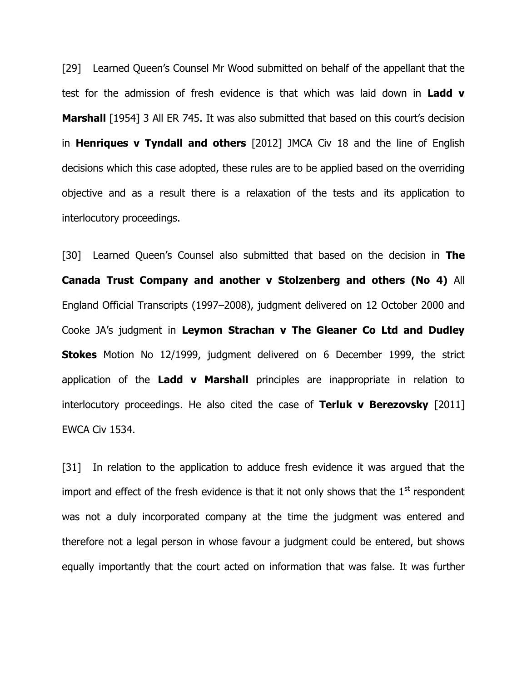[29] Learned Queen's Counsel Mr Wood submitted on behalf of the appellant that the test for the admission of fresh evidence is that which was laid down in **Ladd v Marshall** [1954] 3 All ER 745. It was also submitted that based on this court's decision in **Henriques v Tyndall and others** [2012] JMCA Civ 18 and the line of English decisions which this case adopted, these rules are to be applied based on the overriding objective and as a result there is a relaxation of the tests and its application to interlocutory proceedings.

[30] Learned Queen's Counsel also submitted that based on the decision in **The Canada Trust Company and another v Stolzenberg and others (No 4)** All England Official Transcripts (1997–2008), judgment delivered on 12 October 2000 and Cooke JA"s judgment in **Leymon Strachan v The Gleaner Co Ltd and Dudley Stokes** Motion No 12/1999, judgment delivered on 6 December 1999, the strict application of the **Ladd v Marshall** principles are inappropriate in relation to interlocutory proceedings. He also cited the case of **Terluk v Berezovsky** [2011] EWCA Civ 1534.

[31] In relation to the application to adduce fresh evidence it was argued that the import and effect of the fresh evidence is that it not only shows that the  $1<sup>st</sup>$  respondent was not a duly incorporated company at the time the judgment was entered and therefore not a legal person in whose favour a judgment could be entered, but shows equally importantly that the court acted on information that was false. It was further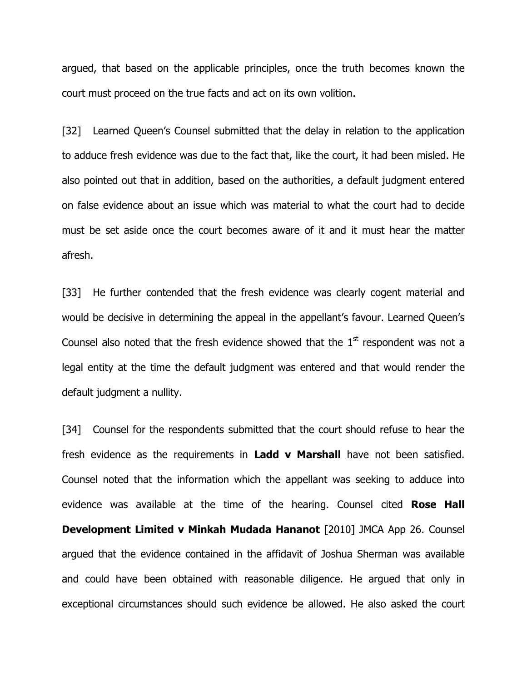argued, that based on the applicable principles, once the truth becomes known the court must proceed on the true facts and act on its own volition.

[32] Learned Queen's Counsel submitted that the delay in relation to the application to adduce fresh evidence was due to the fact that, like the court, it had been misled. He also pointed out that in addition, based on the authorities, a default judgment entered on false evidence about an issue which was material to what the court had to decide must be set aside once the court becomes aware of it and it must hear the matter afresh.

[33] He further contended that the fresh evidence was clearly cogent material and would be decisive in determining the appeal in the appellant's favour. Learned Queen's Counsel also noted that the fresh evidence showed that the  $1<sup>st</sup>$  respondent was not a legal entity at the time the default judgment was entered and that would render the default judgment a nullity.

[34] Counsel for the respondents submitted that the court should refuse to hear the fresh evidence as the requirements in **Ladd v Marshall** have not been satisfied. Counsel noted that the information which the appellant was seeking to adduce into evidence was available at the time of the hearing. Counsel cited **Rose Hall Development Limited v Minkah Mudada Hananot** [2010] JMCA App 26. Counsel argued that the evidence contained in the affidavit of Joshua Sherman was available and could have been obtained with reasonable diligence. He argued that only in exceptional circumstances should such evidence be allowed. He also asked the court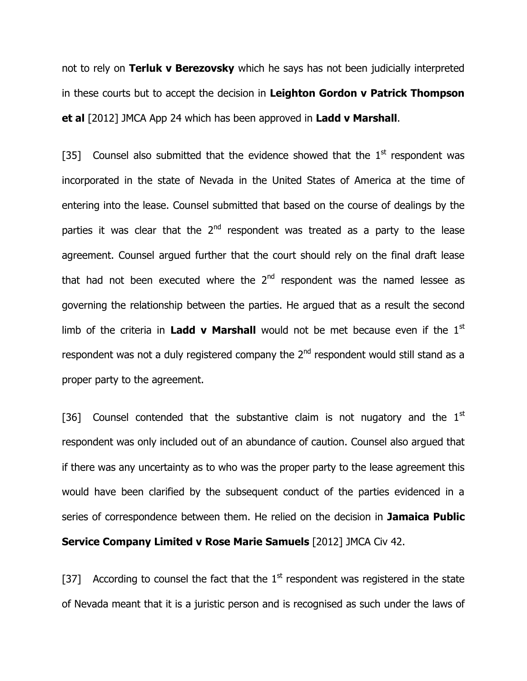not to rely on **Terluk v Berezovsky** which he says has not been judicially interpreted in these courts but to accept the decision in **Leighton Gordon v Patrick Thompson et al** [2012] JMCA App 24 which has been approved in **Ladd v Marshall**.

[35] Counsel also submitted that the evidence showed that the  $1<sup>st</sup>$  respondent was incorporated in the state of Nevada in the United States of America at the time of entering into the lease. Counsel submitted that based on the course of dealings by the parties it was clear that the  $2<sup>nd</sup>$  respondent was treated as a party to the lease agreement. Counsel argued further that the court should rely on the final draft lease that had not been executed where the  $2<sup>nd</sup>$  respondent was the named lessee as governing the relationship between the parties. He argued that as a result the second limb of the criteria in **Ladd v Marshall** would not be met because even if the 1<sup>st</sup> respondent was not a duly registered company the  $2^{nd}$  respondent would still stand as a proper party to the agreement.

[36] Counsel contended that the substantive claim is not nugatory and the  $1<sup>st</sup>$ respondent was only included out of an abundance of caution. Counsel also argued that if there was any uncertainty as to who was the proper party to the lease agreement this would have been clarified by the subsequent conduct of the parties evidenced in a series of correspondence between them. He relied on the decision in **Jamaica Public Service Company Limited v Rose Marie Samuels** [2012] JMCA Civ 42.

[37] According to counsel the fact that the  $1<sup>st</sup>$  respondent was registered in the state of Nevada meant that it is a juristic person and is recognised as such under the laws of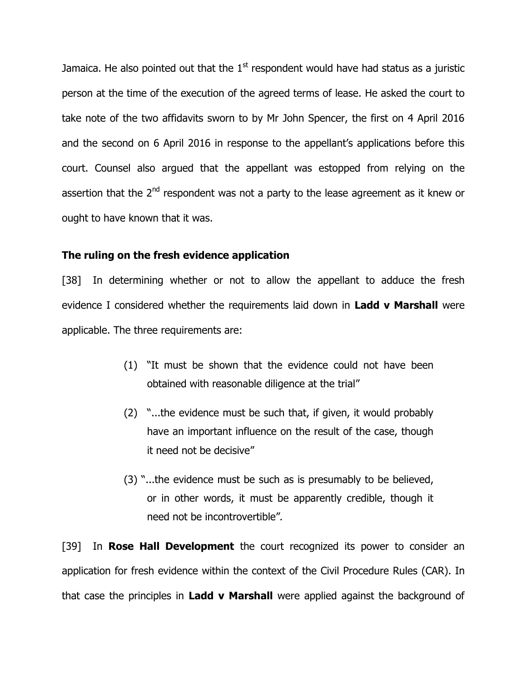Jamaica. He also pointed out that the  $1<sup>st</sup>$  respondent would have had status as a juristic person at the time of the execution of the agreed terms of lease. He asked the court to take note of the two affidavits sworn to by Mr John Spencer, the first on 4 April 2016 and the second on 6 April 2016 in response to the appellant's applications before this court. Counsel also argued that the appellant was estopped from relying on the assertion that the  $2<sup>nd</sup>$  respondent was not a party to the lease agreement as it knew or ought to have known that it was.

#### **The ruling on the fresh evidence application**

[38] In determining whether or not to allow the appellant to adduce the fresh evidence I considered whether the requirements laid down in **Ladd v Marshall** were applicable. The three requirements are:

- (1) "It must be shown that the evidence could not have been obtained with reasonable diligence at the trial"
- (2) "...the evidence must be such that, if given, it would probably have an important influence on the result of the case, though it need not be decisive"
- (3) "...the evidence must be such as is presumably to be believed, or in other words, it must be apparently credible, though it need not be incontrovertible"**.**

[39] In **Rose Hall Development** the court recognized its power to consider an application for fresh evidence within the context of the Civil Procedure Rules (CAR). In that case the principles in **Ladd v Marshall** were applied against the background of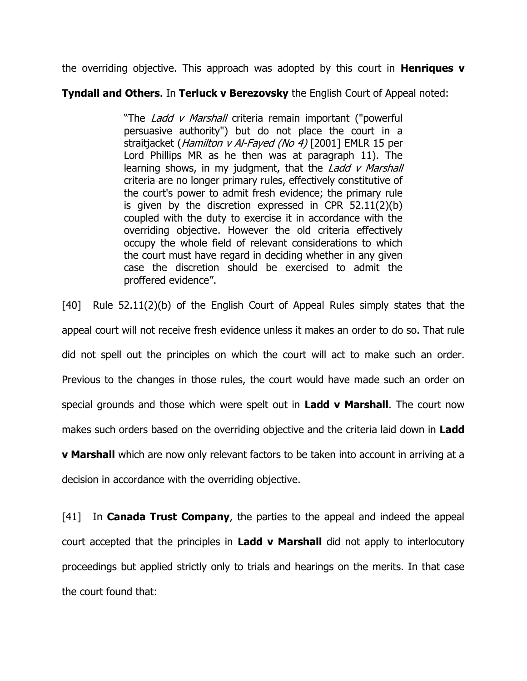the overriding objective. This approach was adopted by this court in **Henriques v** 

#### **Tyndall and Others**. In **Terluck v Berezovsky** the English Court of Appeal noted:

"The *Ladd v Marshall* criteria remain important ("powerful persuasive authority") but do not place the court in a straitjacket (*Hamilton v Al-Fayed (No 4)* [2001] EMLR 15 per Lord Phillips MR as he then was at paragraph 11). The learning shows, in my judgment, that the *Ladd v Marshall* criteria are no longer primary rules, effectively constitutive of the court's power to admit fresh evidence; the primary rule is given by the discretion expressed in CPR 52.11(2)(b) coupled with the duty to exercise it in accordance with the overriding objective. However the old criteria effectively occupy the whole field of relevant considerations to which the court must have regard in deciding whether in any given case the discretion should be exercised to admit the proffered evidence".

[40] Rule 52.11(2)(b) of the English Court of Appeal Rules simply states that the appeal court will not receive fresh evidence unless it makes an order to do so. That rule did not spell out the principles on which the court will act to make such an order. Previous to the changes in those rules, the court would have made such an order on special grounds and those which were spelt out in **Ladd v Marshall**. The court now makes such orders based on the overriding objective and the criteria laid down in **Ladd v Marshall** which are now only relevant factors to be taken into account in arriving at a decision in accordance with the overriding objective.

[41] In **Canada Trust Company**, the parties to the appeal and indeed the appeal court accepted that the principles in **Ladd v Marshall** did not apply to interlocutory proceedings but applied strictly only to trials and hearings on the merits. In that case the court found that: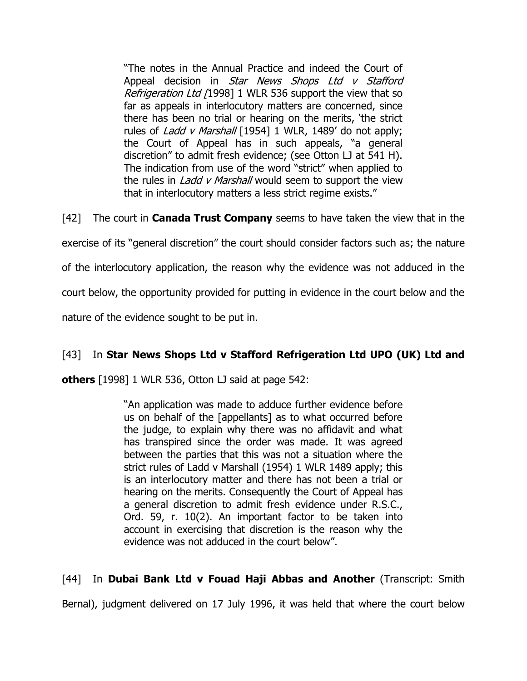"The notes in the Annual Practice and indeed the Court of Appeal decision in Star News Shops Ltd v Stafford Refrigeration Ltd [1998] 1 WLR 536 support the view that so far as appeals in interlocutory matters are concerned, since there has been no trial or hearing on the merits, "the strict rules of *Ladd v Marshall* [1954] 1 WLR, 1489' do not apply; the Court of Appeal has in such appeals, "a general discretion" to admit fresh evidence; (see Otton LJ at 541 H). The indication from use of the word "strict" when applied to the rules in *Ladd v Marshall* would seem to support the view that in interlocutory matters a less strict regime exists."

[42] The court in **Canada Trust Company** seems to have taken the view that in the exercise of its "general discretion" the court should consider factors such as; the nature of the interlocutory application, the reason why the evidence was not adduced in the court below, the opportunity provided for putting in evidence in the court below and the nature of the evidence sought to be put in.

## [43] In **Star News Shops Ltd v Stafford Refrigeration Ltd UPO (UK) Ltd and**

**others** [1998] 1 WLR 536, Otton LJ said at page 542:

"An application was made to adduce further evidence before us on behalf of the [appellants] as to what occurred before the judge, to explain why there was no affidavit and what has transpired since the order was made. It was agreed between the parties that this was not a situation where the strict rules of Ladd v Marshall (1954) 1 WLR 1489 apply; this is an interlocutory matter and there has not been a trial or hearing on the merits. Consequently the Court of Appeal has a general discretion to admit fresh evidence under R.S.C., Ord. 59, r. 10(2). An important factor to be taken into account in exercising that discretion is the reason why the evidence was not adduced in the court below".

## [44] In **Dubai Bank Ltd v Fouad Haji Abbas and Another** (Transcript: Smith

Bernal), judgment delivered on 17 July 1996, it was held that where the court below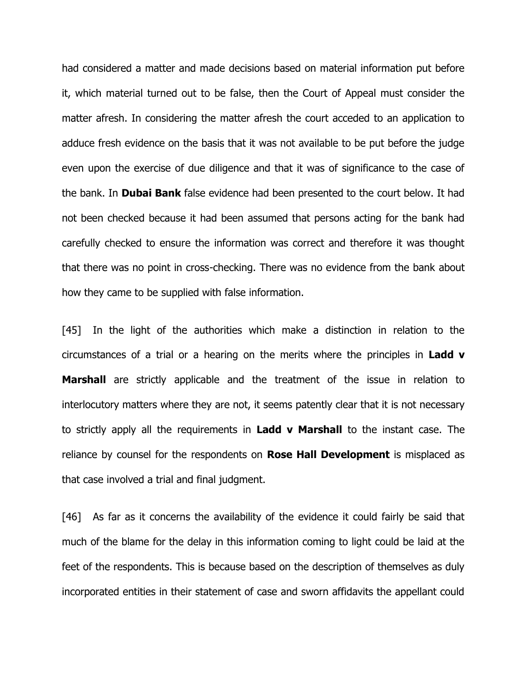had considered a matter and made decisions based on material information put before it, which material turned out to be false, then the Court of Appeal must consider the matter afresh. In considering the matter afresh the court acceded to an application to adduce fresh evidence on the basis that it was not available to be put before the judge even upon the exercise of due diligence and that it was of significance to the case of the bank. In **Dubai Bank** false evidence had been presented to the court below. It had not been checked because it had been assumed that persons acting for the bank had carefully checked to ensure the information was correct and therefore it was thought that there was no point in cross-checking. There was no evidence from the bank about how they came to be supplied with false information.

[45] In the light of the authorities which make a distinction in relation to the circumstances of a trial or a hearing on the merits where the principles in **Ladd v Marshall** are strictly applicable and the treatment of the issue in relation to interlocutory matters where they are not, it seems patently clear that it is not necessary to strictly apply all the requirements in **Ladd v Marshall** to the instant case. The reliance by counsel for the respondents on **Rose Hall Development** is misplaced as that case involved a trial and final judgment.

[46] As far as it concerns the availability of the evidence it could fairly be said that much of the blame for the delay in this information coming to light could be laid at the feet of the respondents. This is because based on the description of themselves as duly incorporated entities in their statement of case and sworn affidavits the appellant could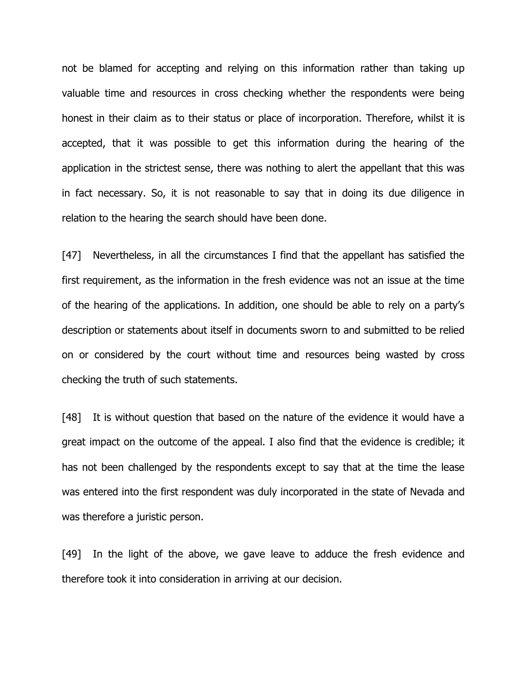not be blamed for accepting and relying on this information rather than taking up valuable time and resources in cross checking whether the respondents were being honest in their claim as to their status or place of incorporation. Therefore, whilst it is accepted, that it was possible to get this information during the hearing of the application in the strictest sense, there was nothing to alert the appellant that this was in fact necessary. So, it is not reasonable to say that in doing its due diligence in relation to the hearing the search should have been done.

[47] Nevertheless, in all the circumstances I find that the appellant has satisfied the first requirement, as the information in the fresh evidence was not an issue at the time of the hearing of the applications. In addition, one should be able to rely on a party"s description or statements about itself in documents sworn to and submitted to be relied on or considered by the court without time and resources being wasted by cross checking the truth of such statements.

[48] It is without question that based on the nature of the evidence it would have a great impact on the outcome of the appeal. I also find that the evidence is credible; it has not been challenged by the respondents except to say that at the time the lease was entered into the first respondent was duly incorporated in the state of Nevada and was therefore a juristic person.

[49] In the light of the above, we gave leave to adduce the fresh evidence and therefore took it into consideration in arriving at our decision.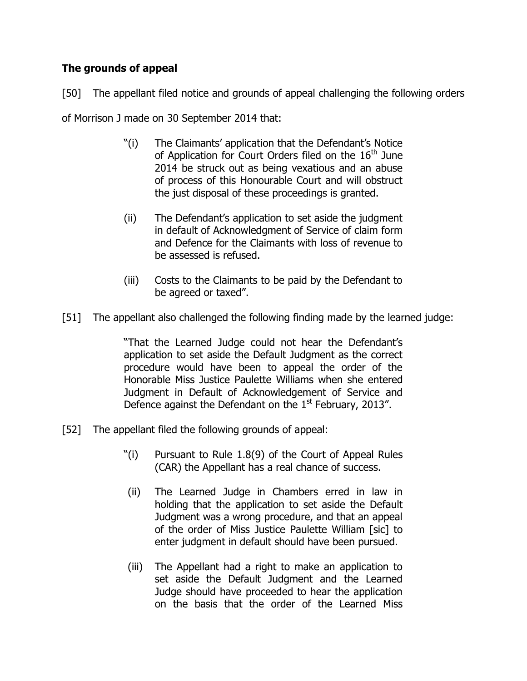## **The grounds of appeal**

[50] The appellant filed notice and grounds of appeal challenging the following orders of Morrison J made on 30 September 2014 that:

- "(i) The Claimants" application that the Defendant"s Notice of Application for Court Orders filed on the  $16<sup>th</sup>$  June 2014 be struck out as being vexatious and an abuse of process of this Honourable Court and will obstruct the just disposal of these proceedings is granted.
- (ii) The Defendant"s application to set aside the judgment in default of Acknowledgment of Service of claim form and Defence for the Claimants with loss of revenue to be assessed is refused.
- (iii) Costs to the Claimants to be paid by the Defendant to be agreed or taxed".
- [51] The appellant also challenged the following finding made by the learned judge:

"That the Learned Judge could not hear the Defendant"s application to set aside the Default Judgment as the correct procedure would have been to appeal the order of the Honorable Miss Justice Paulette Williams when she entered Judgment in Default of Acknowledgement of Service and Defence against the Defendant on the 1<sup>st</sup> February, 2013".

- [52] The appellant filed the following grounds of appeal:
	- "(i) Pursuant to Rule 1.8(9) of the Court of Appeal Rules (CAR) the Appellant has a real chance of success.
	- (ii) The Learned Judge in Chambers erred in law in holding that the application to set aside the Default Judgment was a wrong procedure, and that an appeal of the order of Miss Justice Paulette William [sic] to enter judgment in default should have been pursued.
	- (iii) The Appellant had a right to make an application to set aside the Default Judgment and the Learned Judge should have proceeded to hear the application on the basis that the order of the Learned Miss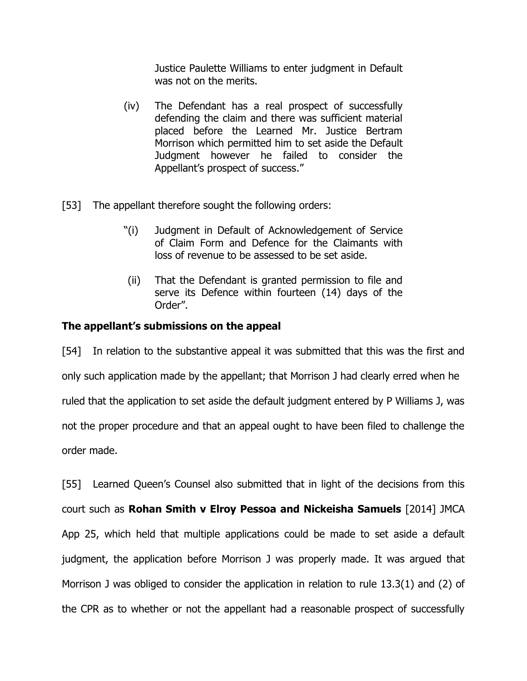Justice Paulette Williams to enter judgment in Default was not on the merits.

- (iv) The Defendant has a real prospect of successfully defending the claim and there was sufficient material placed before the Learned Mr. Justice Bertram Morrison which permitted him to set aside the Default Judgment however he failed to consider the Appellant"s prospect of success."
- [53] The appellant therefore sought the following orders:
	- "(i) Judgment in Default of Acknowledgement of Service of Claim Form and Defence for the Claimants with loss of revenue to be assessed to be set aside.
	- (ii) That the Defendant is granted permission to file and serve its Defence within fourteen (14) days of the Order".

#### **The appellant's submissions on the appeal**

[54] In relation to the substantive appeal it was submitted that this was the first and only such application made by the appellant; that Morrison J had clearly erred when he ruled that the application to set aside the default judgment entered by P Williams J, was not the proper procedure and that an appeal ought to have been filed to challenge the order made.

[55] Learned Queen"s Counsel also submitted that in light of the decisions from this court such as **Rohan Smith v Elroy Pessoa and Nickeisha Samuels** [2014] JMCA App 25, which held that multiple applications could be made to set aside a default judgment, the application before Morrison J was properly made. It was argued that Morrison J was obliged to consider the application in relation to rule 13.3(1) and (2) of the CPR as to whether or not the appellant had a reasonable prospect of successfully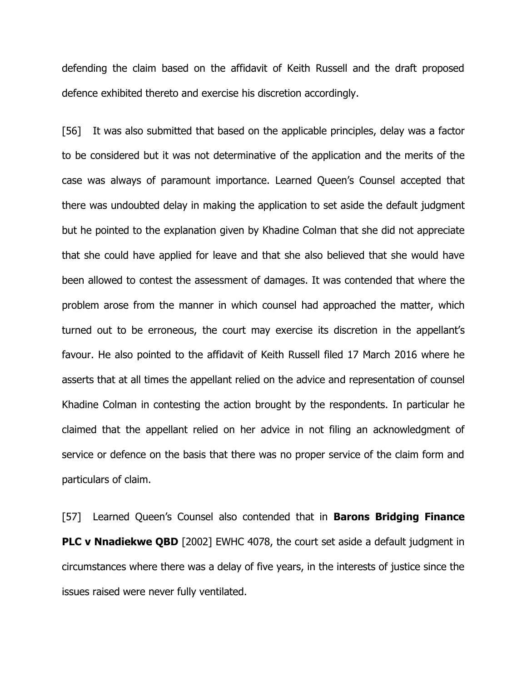defending the claim based on the affidavit of Keith Russell and the draft proposed defence exhibited thereto and exercise his discretion accordingly.

[56] It was also submitted that based on the applicable principles, delay was a factor to be considered but it was not determinative of the application and the merits of the case was always of paramount importance. Learned Queen"s Counsel accepted that there was undoubted delay in making the application to set aside the default judgment but he pointed to the explanation given by Khadine Colman that she did not appreciate that she could have applied for leave and that she also believed that she would have been allowed to contest the assessment of damages. It was contended that where the problem arose from the manner in which counsel had approached the matter, which turned out to be erroneous, the court may exercise its discretion in the appellant"s favour. He also pointed to the affidavit of Keith Russell filed 17 March 2016 where he asserts that at all times the appellant relied on the advice and representation of counsel Khadine Colman in contesting the action brought by the respondents. In particular he claimed that the appellant relied on her advice in not filing an acknowledgment of service or defence on the basis that there was no proper service of the claim form and particulars of claim.

[57] Learned Queen"s Counsel also contended that in **Barons Bridging Finance PLC v Nnadiekwe QBD** [2002] EWHC 4078, the court set aside a default judgment in circumstances where there was a delay of five years, in the interests of justice since the issues raised were never fully ventilated.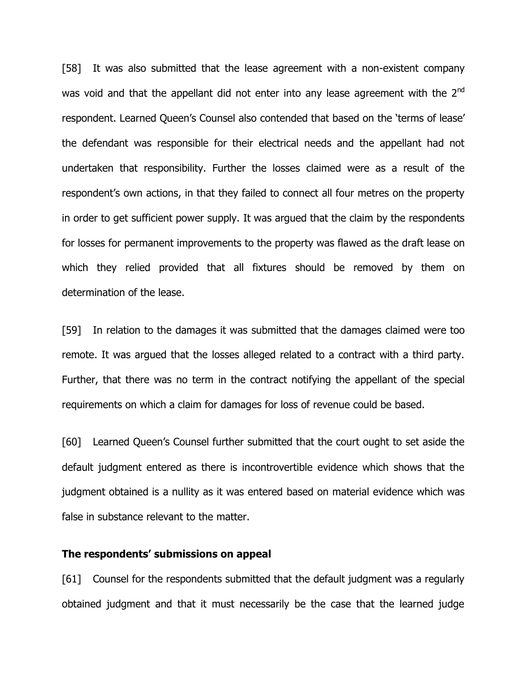[58] It was also submitted that the lease agreement with a non-existent company was void and that the appellant did not enter into any lease agreement with the  $2<sup>nd</sup>$ respondent. Learned Queen's Counsel also contended that based on the 'terms of lease' the defendant was responsible for their electrical needs and the appellant had not undertaken that responsibility. Further the losses claimed were as a result of the respondent's own actions, in that they failed to connect all four metres on the property in order to get sufficient power supply. It was argued that the claim by the respondents for losses for permanent improvements to the property was flawed as the draft lease on which they relied provided that all fixtures should be removed by them on determination of the lease.

[59] In relation to the damages it was submitted that the damages claimed were too remote. It was argued that the losses alleged related to a contract with a third party. Further, that there was no term in the contract notifying the appellant of the special requirements on which a claim for damages for loss of revenue could be based.

[60] Learned Queen's Counsel further submitted that the court ought to set aside the default judgment entered as there is incontrovertible evidence which shows that the judgment obtained is a nullity as it was entered based on material evidence which was false in substance relevant to the matter.

#### **The respondents' submissions on appeal**

[61] Counsel for the respondents submitted that the default judgment was a regularly obtained judgment and that it must necessarily be the case that the learned judge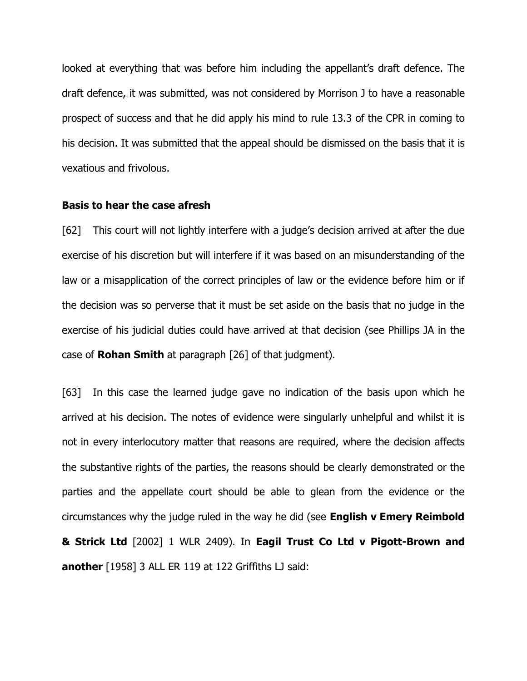looked at everything that was before him including the appellant"s draft defence. The draft defence, it was submitted, was not considered by Morrison J to have a reasonable prospect of success and that he did apply his mind to rule 13.3 of the CPR in coming to his decision. It was submitted that the appeal should be dismissed on the basis that it is vexatious and frivolous.

#### **Basis to hear the case afresh**

[62] This court will not lightly interfere with a judge's decision arrived at after the due exercise of his discretion but will interfere if it was based on an misunderstanding of the law or a misapplication of the correct principles of law or the evidence before him or if the decision was so perverse that it must be set aside on the basis that no judge in the exercise of his judicial duties could have arrived at that decision (see Phillips JA in the case of **Rohan Smith** at paragraph [26] of that judgment).

[63] In this case the learned judge gave no indication of the basis upon which he arrived at his decision. The notes of evidence were singularly unhelpful and whilst it is not in every interlocutory matter that reasons are required, where the decision affects the substantive rights of the parties, the reasons should be clearly demonstrated or the parties and the appellate court should be able to glean from the evidence or the circumstances why the judge ruled in the way he did (see **English v Emery Reimbold & Strick Ltd** [2002] 1 WLR 2409). In **Eagil Trust Co Ltd v Pigott-Brown and another** [1958] 3 ALL ER 119 at 122 Griffiths LJ said: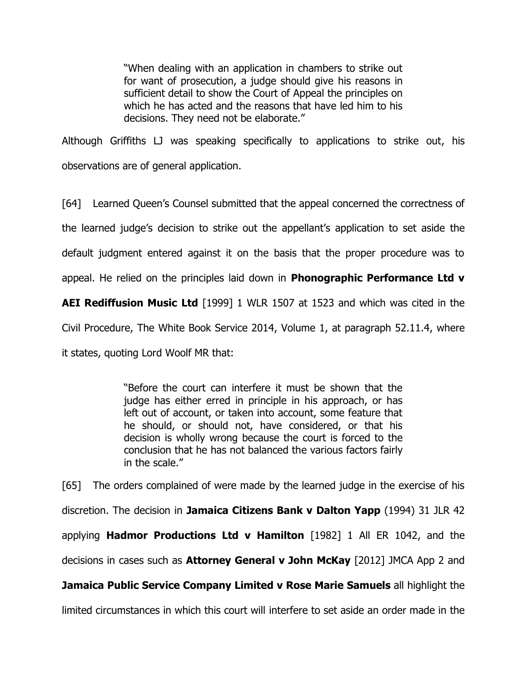"When dealing with an application in chambers to strike out for want of prosecution, a judge should give his reasons in sufficient detail to show the Court of Appeal the principles on which he has acted and the reasons that have led him to his decisions. They need not be elaborate."

Although Griffiths LJ was speaking specifically to applications to strike out, his observations are of general application.

[64] Learned Queen"s Counsel submitted that the appeal concerned the correctness of the learned judge"s decision to strike out the appellant"s application to set aside the default judgment entered against it on the basis that the proper procedure was to

appeal. He relied on the principles laid down in **Phonographic Performance Ltd v** 

**AEI Rediffusion Music Ltd** [1999] 1 WLR 1507 at 1523 and which was cited in the

Civil Procedure, The White Book Service 2014, Volume 1, at paragraph 52.11.4, where

it states, quoting Lord Woolf MR that:

"Before the court can interfere it must be shown that the judge has either erred in principle in his approach, or has left out of account, or taken into account, some feature that he should, or should not, have considered, or that his decision is wholly wrong because the court is forced to the conclusion that he has not balanced the various factors fairly in the scale."

[65] The orders complained of were made by the learned judge in the exercise of his discretion. The decision in **Jamaica Citizens Bank v Dalton Yapp** (1994) 31 JLR 42 applying **Hadmor Productions Ltd v Hamilton** [1982] 1 All ER 1042, and the decisions in cases such as **Attorney General v John McKay** [2012] JMCA App 2 and **Jamaica Public Service Company Limited v Rose Marie Samuels** all highlight the limited circumstances in which this court will interfere to set aside an order made in the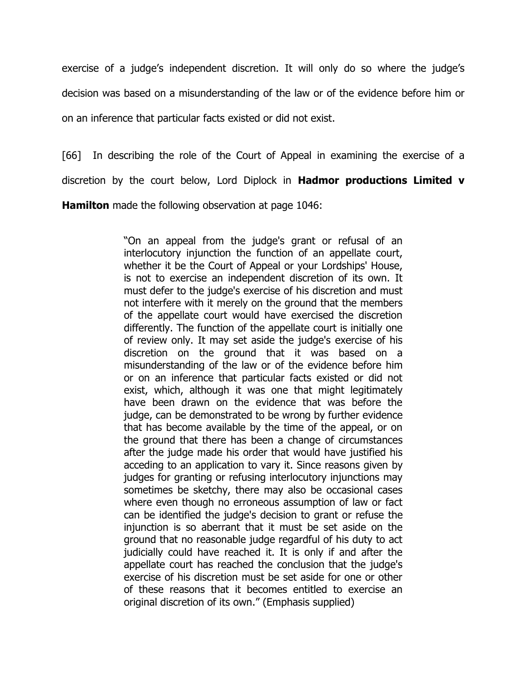exercise of a judge's independent discretion. It will only do so where the judge's decision was based on a misunderstanding of the law or of the evidence before him or on an inference that particular facts existed or did not exist.

[66] In describing the role of the Court of Appeal in examining the exercise of a discretion by the court below, Lord Diplock in **Hadmor productions Limited v Hamilton** made the following observation at page 1046:

> "On an appeal from the judge's grant or refusal of an interlocutory injunction the function of an appellate court, whether it be the Court of Appeal or your Lordships' House, is not to exercise an independent discretion of its own. It must defer to the judge's exercise of his discretion and must not interfere with it merely on the ground that the members of the appellate court would have exercised the discretion differently. The function of the appellate court is initially one of review only. It may set aside the judge's exercise of his discretion on the ground that it was based on a misunderstanding of the law or of the evidence before him or on an inference that particular facts existed or did not exist, which, although it was one that might legitimately have been drawn on the evidence that was before the judge, can be demonstrated to be wrong by further evidence that has become available by the time of the appeal, or on the ground that there has been a change of circumstances after the judge made his order that would have justified his acceding to an application to vary it. Since reasons given by judges for granting or refusing interlocutory injunctions may sometimes be sketchy, there may also be occasional cases where even though no erroneous assumption of law or fact can be identified the judge's decision to grant or refuse the injunction is so aberrant that it must be set aside on the ground that no reasonable judge regardful of his duty to act judicially could have reached it. It is only if and after the appellate court has reached the conclusion that the judge's exercise of his discretion must be set aside for one or other of these reasons that it becomes entitled to exercise an original discretion of its own." (Emphasis supplied)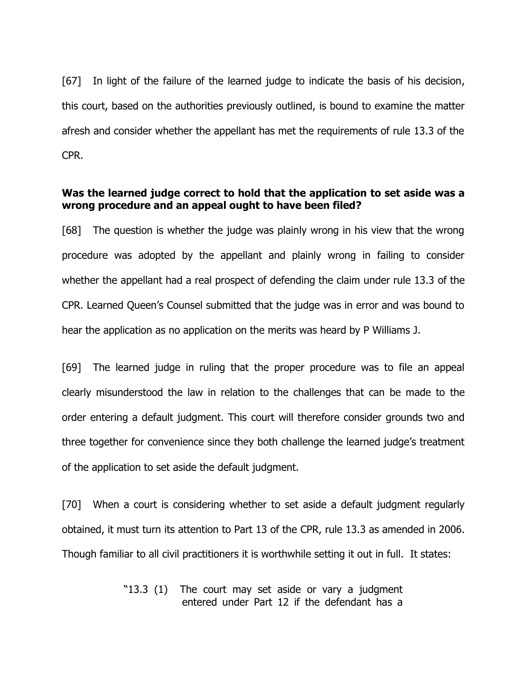[67] In light of the failure of the learned judge to indicate the basis of his decision, this court, based on the authorities previously outlined, is bound to examine the matter afresh and consider whether the appellant has met the requirements of rule 13.3 of the CPR.

#### **Was the learned judge correct to hold that the application to set aside was a wrong procedure and an appeal ought to have been filed?**

[68] The question is whether the judge was plainly wrong in his view that the wrong procedure was adopted by the appellant and plainly wrong in failing to consider whether the appellant had a real prospect of defending the claim under rule 13.3 of the CPR. Learned Queen"s Counsel submitted that the judge was in error and was bound to hear the application as no application on the merits was heard by P Williams J.

[69] The learned judge in ruling that the proper procedure was to file an appeal clearly misunderstood the law in relation to the challenges that can be made to the order entering a default judgment. This court will therefore consider grounds two and three together for convenience since they both challenge the learned judge"s treatment of the application to set aside the default judgment.

[70] When a court is considering whether to set aside a default judgment regularly obtained, it must turn its attention to Part 13 of the CPR, rule 13.3 as amended in 2006. Though familiar to all civil practitioners it is worthwhile setting it out in full. It states:

> "13.3 (1) The court may set aside or vary a judgment entered under Part 12 if the defendant has a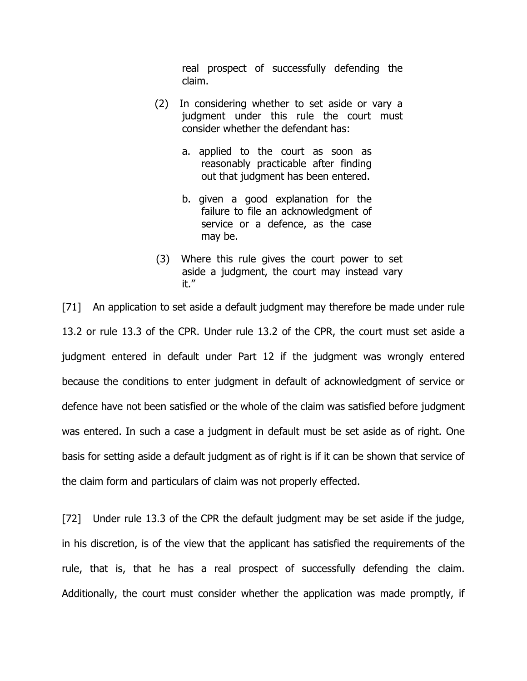real prospect of successfully defending the claim.

- (2) In considering whether to set aside or vary a judgment under this rule the court must consider whether the defendant has:
	- a. applied to the court as soon as reasonably practicable after finding out that judgment has been entered.
	- b. given a good explanation for the failure to file an acknowledgment of service or a defence, as the case may be.
- (3) Where this rule gives the court power to set aside a judgment, the court may instead vary it."

[71] An application to set aside a default judgment may therefore be made under rule 13.2 or rule 13.3 of the CPR. Under rule 13.2 of the CPR, the court must set aside a judgment entered in default under Part 12 if the judgment was wrongly entered because the conditions to enter judgment in default of acknowledgment of service or defence have not been satisfied or the whole of the claim was satisfied before judgment was entered. In such a case a judgment in default must be set aside as of right. One basis for setting aside a default judgment as of right is if it can be shown that service of the claim form and particulars of claim was not properly effected.

[72] Under rule 13.3 of the CPR the default judgment may be set aside if the judge, in his discretion, is of the view that the applicant has satisfied the requirements of the rule, that is, that he has a real prospect of successfully defending the claim. Additionally, the court must consider whether the application was made promptly, if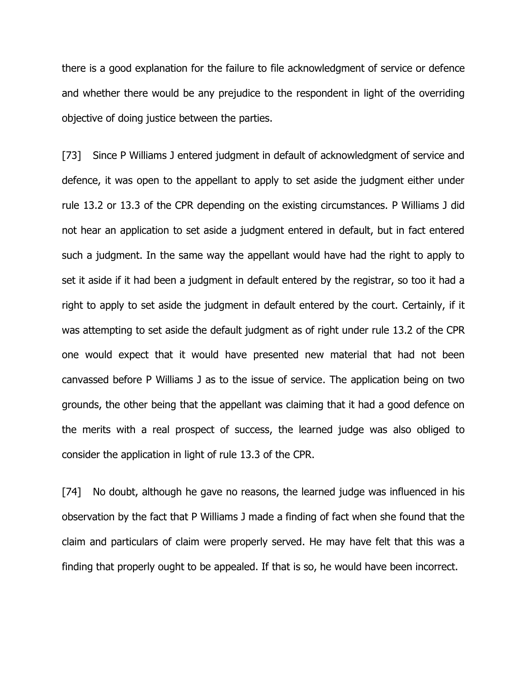there is a good explanation for the failure to file acknowledgment of service or defence and whether there would be any prejudice to the respondent in light of the overriding objective of doing justice between the parties.

[73] Since P Williams J entered judgment in default of acknowledgment of service and defence, it was open to the appellant to apply to set aside the judgment either under rule 13.2 or 13.3 of the CPR depending on the existing circumstances. P Williams J did not hear an application to set aside a judgment entered in default, but in fact entered such a judgment. In the same way the appellant would have had the right to apply to set it aside if it had been a judgment in default entered by the registrar, so too it had a right to apply to set aside the judgment in default entered by the court. Certainly, if it was attempting to set aside the default judgment as of right under rule 13.2 of the CPR one would expect that it would have presented new material that had not been canvassed before P Williams J as to the issue of service. The application being on two grounds, the other being that the appellant was claiming that it had a good defence on the merits with a real prospect of success, the learned judge was also obliged to consider the application in light of rule 13.3 of the CPR.

[74] No doubt, although he gave no reasons, the learned judge was influenced in his observation by the fact that P Williams J made a finding of fact when she found that the claim and particulars of claim were properly served. He may have felt that this was a finding that properly ought to be appealed. If that is so, he would have been incorrect.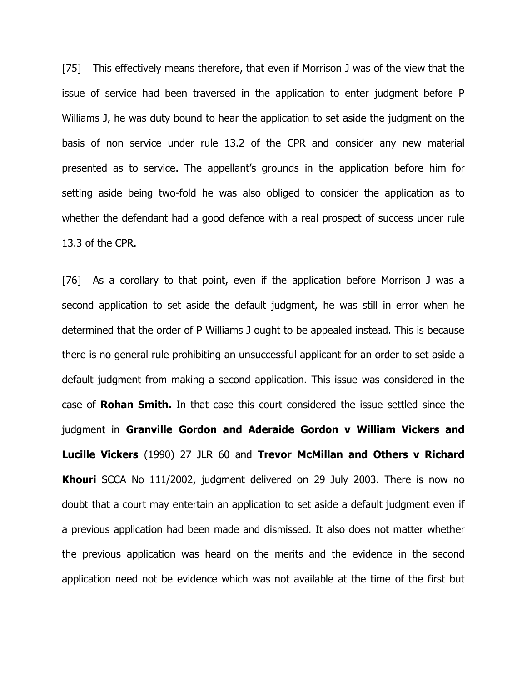[75] This effectively means therefore, that even if Morrison J was of the view that the issue of service had been traversed in the application to enter judgment before P Williams J, he was duty bound to hear the application to set aside the judgment on the basis of non service under rule 13.2 of the CPR and consider any new material presented as to service. The appellant"s grounds in the application before him for setting aside being two-fold he was also obliged to consider the application as to whether the defendant had a good defence with a real prospect of success under rule 13.3 of the CPR.

[76] As a corollary to that point, even if the application before Morrison J was a second application to set aside the default judgment, he was still in error when he determined that the order of P Williams J ought to be appealed instead. This is because there is no general rule prohibiting an unsuccessful applicant for an order to set aside a default judgment from making a second application. This issue was considered in the case of **Rohan Smith.** In that case this court considered the issue settled since the judgment in **Granville Gordon and Aderaide Gordon v William Vickers and Lucille Vickers** (1990) 27 JLR 60 and **Trevor McMillan and Others v Richard Khouri** SCCA No 111/2002, judgment delivered on 29 July 2003. There is now no doubt that a court may entertain an application to set aside a default judgment even if a previous application had been made and dismissed. It also does not matter whether the previous application was heard on the merits and the evidence in the second application need not be evidence which was not available at the time of the first but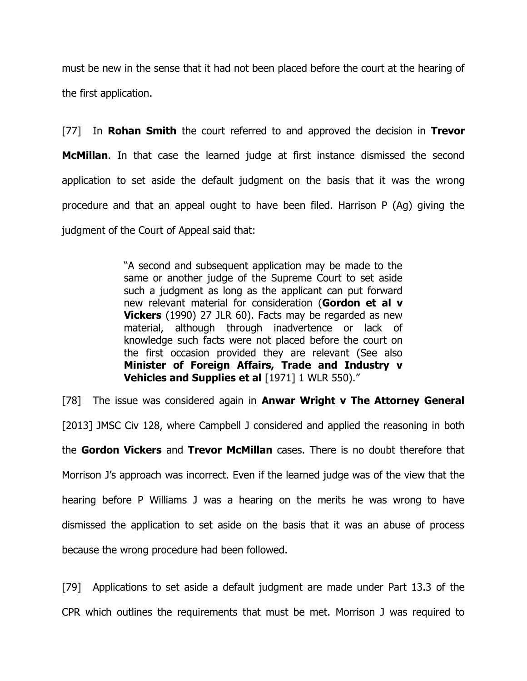must be new in the sense that it had not been placed before the court at the hearing of the first application.

[77] In **Rohan Smith** the court referred to and approved the decision in **Trevor McMillan**. In that case the learned judge at first instance dismissed the second application to set aside the default judgment on the basis that it was the wrong procedure and that an appeal ought to have been filed. Harrison P (Ag) giving the judgment of the Court of Appeal said that:

> "A second and subsequent application may be made to the same or another judge of the Supreme Court to set aside such a judgment as long as the applicant can put forward new relevant material for consideration (**Gordon et al v Vickers** (1990) 27 JLR 60). Facts may be regarded as new material, although through inadvertence or lack of knowledge such facts were not placed before the court on the first occasion provided they are relevant (See also **Minister of Foreign Affairs, Trade and Industry v Vehicles and Supplies et al [1971] 1 WLR 550)."**

[78] The issue was considered again in **Anwar Wright v The Attorney General** [2013] JMSC Civ 128, where Campbell J considered and applied the reasoning in both the **Gordon Vickers** and **Trevor McMillan** cases. There is no doubt therefore that Morrison J"s approach was incorrect. Even if the learned judge was of the view that the hearing before P Williams J was a hearing on the merits he was wrong to have dismissed the application to set aside on the basis that it was an abuse of process because the wrong procedure had been followed.

[79] Applications to set aside a default judgment are made under Part 13.3 of the CPR which outlines the requirements that must be met. Morrison J was required to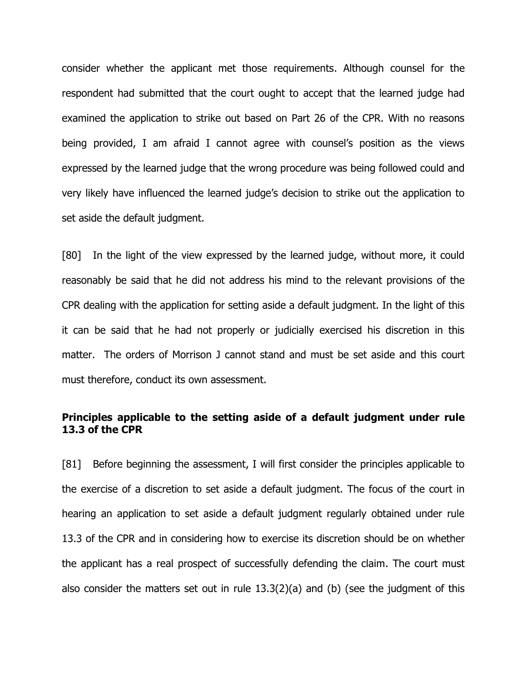consider whether the applicant met those requirements. Although counsel for the respondent had submitted that the court ought to accept that the learned judge had examined the application to strike out based on Part 26 of the CPR. With no reasons being provided, I am afraid I cannot agree with counsel's position as the views expressed by the learned judge that the wrong procedure was being followed could and very likely have influenced the learned judge"s decision to strike out the application to set aside the default judgment.

[80] In the light of the view expressed by the learned judge, without more, it could reasonably be said that he did not address his mind to the relevant provisions of the CPR dealing with the application for setting aside a default judgment. In the light of this it can be said that he had not properly or judicially exercised his discretion in this matter. The orders of Morrison J cannot stand and must be set aside and this court must therefore, conduct its own assessment.

#### **Principles applicable to the setting aside of a default judgment under rule 13.3 of the CPR**

[81] Before beginning the assessment, I will first consider the principles applicable to the exercise of a discretion to set aside a default judgment. The focus of the court in hearing an application to set aside a default judgment regularly obtained under rule 13.3 of the CPR and in considering how to exercise its discretion should be on whether the applicant has a real prospect of successfully defending the claim. The court must also consider the matters set out in rule 13.3(2)(a) and (b) (see the judgment of this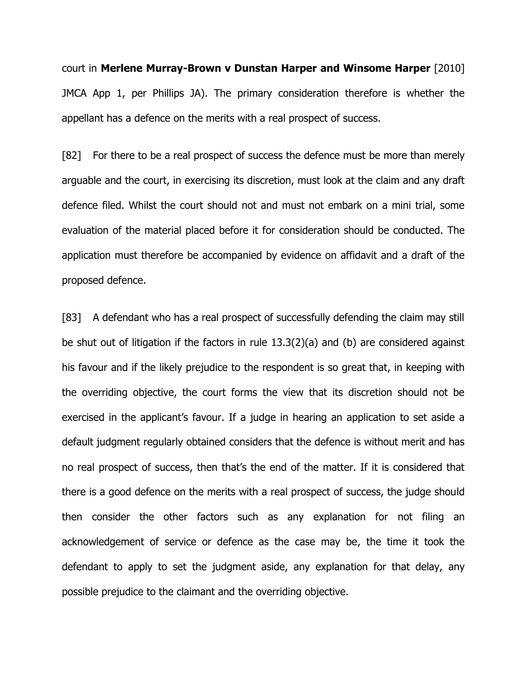court in **Merlene Murray-Brown v Dunstan Harper and Winsome Harper** [2010] JMCA App 1, per Phillips JA). The primary consideration therefore is whether the appellant has a defence on the merits with a real prospect of success.

[82] For there to be a real prospect of success the defence must be more than merely arguable and the court, in exercising its discretion, must look at the claim and any draft defence filed. Whilst the court should not and must not embark on a mini trial, some evaluation of the material placed before it for consideration should be conducted. The application must therefore be accompanied by evidence on affidavit and a draft of the proposed defence.

[83] A defendant who has a real prospect of successfully defending the claim may still be shut out of litigation if the factors in rule 13.3(2)(a) and (b) are considered against his favour and if the likely prejudice to the respondent is so great that, in keeping with the overriding objective, the court forms the view that its discretion should not be exercised in the applicant's favour. If a judge in hearing an application to set aside a default judgment regularly obtained considers that the defence is without merit and has no real prospect of success, then that"s the end of the matter. If it is considered that there is a good defence on the merits with a real prospect of success, the judge should then consider the other factors such as any explanation for not filing an acknowledgement of service or defence as the case may be, the time it took the defendant to apply to set the judgment aside, any explanation for that delay, any possible prejudice to the claimant and the overriding objective.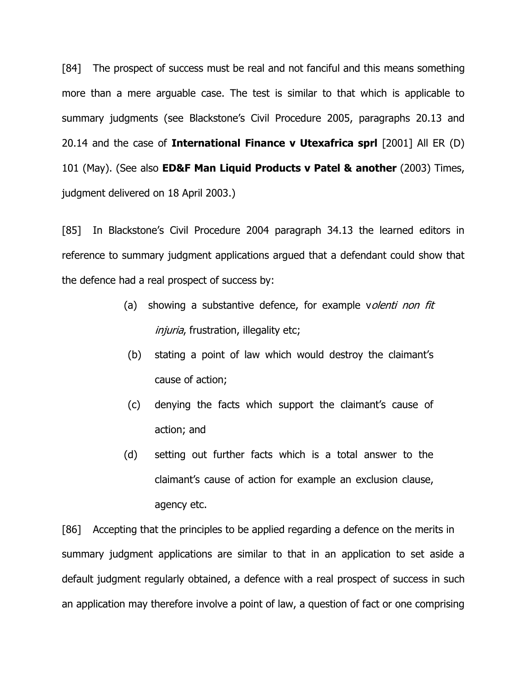[84] The prospect of success must be real and not fanciful and this means something more than a mere arguable case. The test is similar to that which is applicable to summary judgments (see Blackstone's Civil Procedure 2005, paragraphs 20.13 and 20.14 and the case of **International Finance v Utexafrica sprl** [2001] All ER (D) 101 (May). (See also **ED&F Man Liquid Products v Patel & another** (2003) Times, judgment delivered on 18 April 2003.)

[85] In Blackstone's Civil Procedure 2004 paragraph 34.13 the learned editors in reference to summary judgment applications argued that a defendant could show that the defence had a real prospect of success by:

- (a) showing a substantive defence, for example volenti non fit injuria, frustration, illegality etc;
- (b) stating a point of law which would destroy the claimant"s cause of action;
- (c) denying the facts which support the claimant"s cause of action; and
- (d) setting out further facts which is a total answer to the claimant"s cause of action for example an exclusion clause, agency etc.

[86] Accepting that the principles to be applied regarding a defence on the merits in summary judgment applications are similar to that in an application to set aside a default judgment regularly obtained, a defence with a real prospect of success in such an application may therefore involve a point of law, a question of fact or one comprising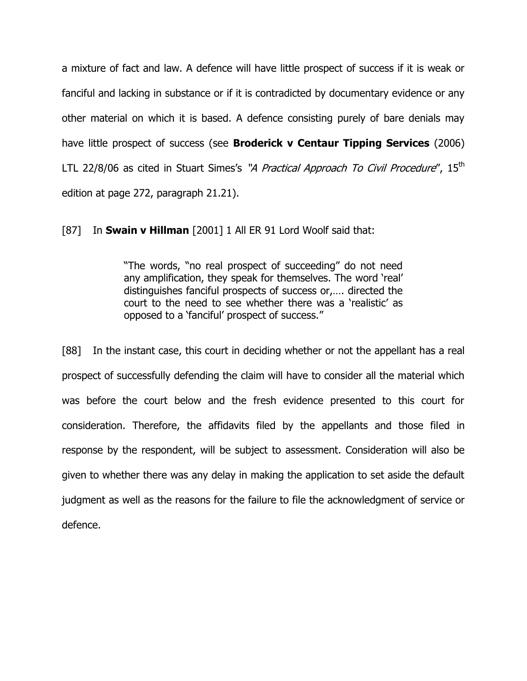a mixture of fact and law. A defence will have little prospect of success if it is weak or fanciful and lacking in substance or if it is contradicted by documentary evidence or any other material on which it is based. A defence consisting purely of bare denials may have little prospect of success (see **Broderick v Centaur Tipping Services** (2006) LTL 22/8/06 as cited in Stuart Simes's "*A Practical Approach To Civil Procedure*", 15<sup>th</sup> edition at page 272, paragraph 21.21).

[87] In **Swain v Hillman** [2001] 1 All ER 91 Lord Woolf said that:

"The words, "no real prospect of succeeding" do not need any amplification, they speak for themselves. The word 'real' distinguishes fanciful prospects of success or,…. directed the court to the need to see whether there was a "realistic" as opposed to a "fanciful" prospect of success."

[88] In the instant case, this court in deciding whether or not the appellant has a real prospect of successfully defending the claim will have to consider all the material which was before the court below and the fresh evidence presented to this court for consideration. Therefore, the affidavits filed by the appellants and those filed in response by the respondent, will be subject to assessment. Consideration will also be given to whether there was any delay in making the application to set aside the default judgment as well as the reasons for the failure to file the acknowledgment of service or defence.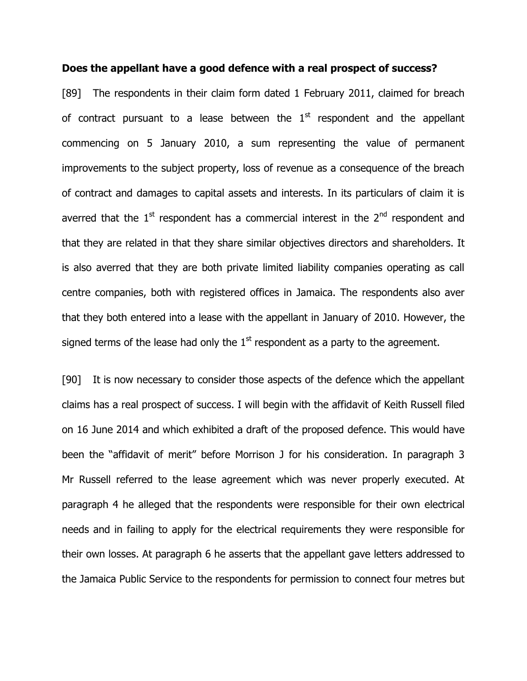#### **Does the appellant have a good defence with a real prospect of success?**

[89] The respondents in their claim form dated 1 February 2011, claimed for breach of contract pursuant to a lease between the  $1<sup>st</sup>$  respondent and the appellant commencing on 5 January 2010, a sum representing the value of permanent improvements to the subject property, loss of revenue as a consequence of the breach of contract and damages to capital assets and interests. In its particulars of claim it is averred that the  $1<sup>st</sup>$  respondent has a commercial interest in the  $2<sup>nd</sup>$  respondent and that they are related in that they share similar objectives directors and shareholders. It is also averred that they are both private limited liability companies operating as call centre companies, both with registered offices in Jamaica. The respondents also aver that they both entered into a lease with the appellant in January of 2010. However, the signed terms of the lease had only the  $1<sup>st</sup>$  respondent as a party to the agreement.

[90] It is now necessary to consider those aspects of the defence which the appellant claims has a real prospect of success. I will begin with the affidavit of Keith Russell filed on 16 June 2014 and which exhibited a draft of the proposed defence. This would have been the "affidavit of merit" before Morrison J for his consideration. In paragraph 3 Mr Russell referred to the lease agreement which was never properly executed. At paragraph 4 he alleged that the respondents were responsible for their own electrical needs and in failing to apply for the electrical requirements they were responsible for their own losses. At paragraph 6 he asserts that the appellant gave letters addressed to the Jamaica Public Service to the respondents for permission to connect four metres but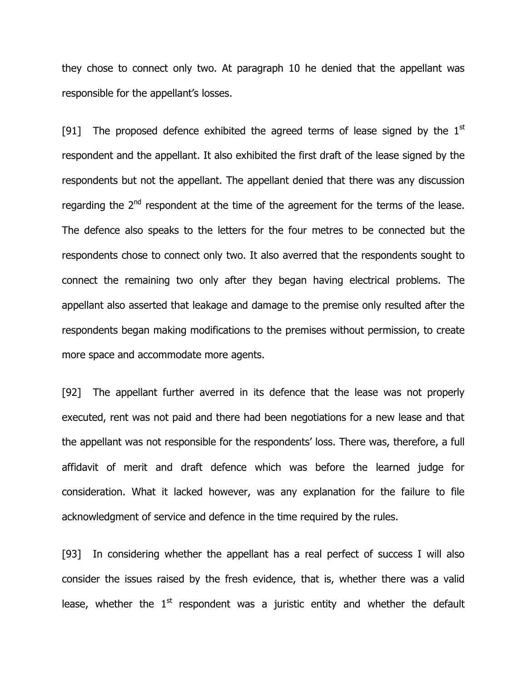they chose to connect only two. At paragraph 10 he denied that the appellant was responsible for the appellant"s losses.

[91] The proposed defence exhibited the agreed terms of lease signed by the  $1<sup>st</sup>$ respondent and the appellant. It also exhibited the first draft of the lease signed by the respondents but not the appellant. The appellant denied that there was any discussion regarding the  $2<sup>nd</sup>$  respondent at the time of the agreement for the terms of the lease. The defence also speaks to the letters for the four metres to be connected but the respondents chose to connect only two. It also averred that the respondents sought to connect the remaining two only after they began having electrical problems. The appellant also asserted that leakage and damage to the premise only resulted after the respondents began making modifications to the premises without permission, to create more space and accommodate more agents.

[92] The appellant further averred in its defence that the lease was not properly executed, rent was not paid and there had been negotiations for a new lease and that the appellant was not responsible for the respondents' loss. There was, therefore, a full affidavit of merit and draft defence which was before the learned judge for consideration. What it lacked however, was any explanation for the failure to file acknowledgment of service and defence in the time required by the rules.

[93] In considering whether the appellant has a real perfect of success I will also consider the issues raised by the fresh evidence, that is, whether there was a valid lease, whether the  $1<sup>st</sup>$  respondent was a juristic entity and whether the default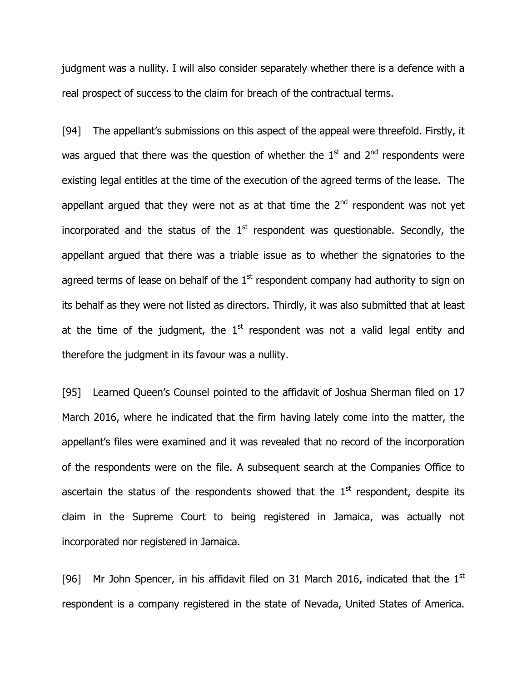judgment was a nullity. I will also consider separately whether there is a defence with a real prospect of success to the claim for breach of the contractual terms.

[94] The appellant's submissions on this aspect of the appeal were threefold. Firstly, it was argued that there was the question of whether the  $1<sup>st</sup>$  and  $2<sup>nd</sup>$  respondents were existing legal entitles at the time of the execution of the agreed terms of the lease. The appellant argued that they were not as at that time the  $2<sup>nd</sup>$  respondent was not yet incorporated and the status of the  $1<sup>st</sup>$  respondent was questionable. Secondly, the appellant argued that there was a triable issue as to whether the signatories to the agreed terms of lease on behalf of the  $1<sup>st</sup>$  respondent company had authority to sign on its behalf as they were not listed as directors. Thirdly, it was also submitted that at least at the time of the judgment, the  $1<sup>st</sup>$  respondent was not a valid legal entity and therefore the judgment in its favour was a nullity.

[95] Learned Queen's Counsel pointed to the affidavit of Joshua Sherman filed on 17 March 2016, where he indicated that the firm having lately come into the matter, the appellant's files were examined and it was revealed that no record of the incorporation of the respondents were on the file. A subsequent search at the Companies Office to ascertain the status of the respondents showed that the  $1<sup>st</sup>$  respondent, despite its claim in the Supreme Court to being registered in Jamaica, was actually not incorporated nor registered in Jamaica.

[96] Mr John Spencer, in his affidavit filed on 31 March 2016, indicated that the  $1<sup>st</sup>$ respondent is a company registered in the state of Nevada, United States of America.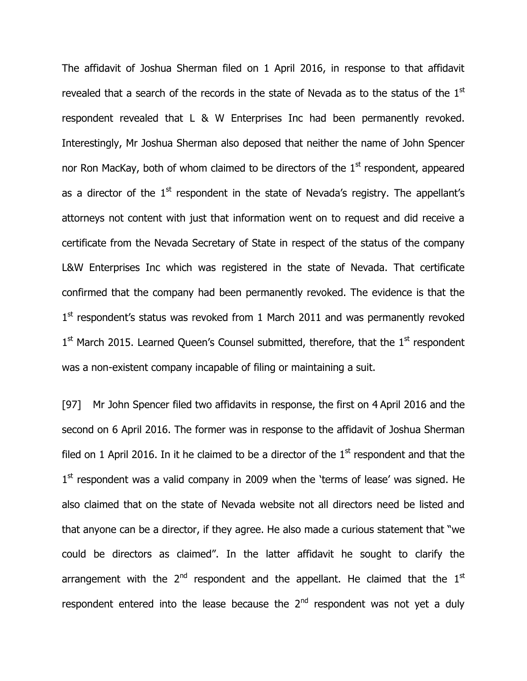The affidavit of Joshua Sherman filed on 1 April 2016, in response to that affidavit revealed that a search of the records in the state of Nevada as to the status of the 1<sup>st</sup> respondent revealed that L & W Enterprises Inc had been permanently revoked. Interestingly, Mr Joshua Sherman also deposed that neither the name of John Spencer nor Ron MacKay, both of whom claimed to be directors of the  $1<sup>st</sup>$  respondent, appeared as a director of the  $1^\text{st}$  respondent in the state of Nevada's registry. The appellant's attorneys not content with just that information went on to request and did receive a certificate from the Nevada Secretary of State in respect of the status of the company L&W Enterprises Inc which was registered in the state of Nevada. That certificate confirmed that the company had been permanently revoked. The evidence is that the 1<sup>st</sup> respondent's status was revoked from 1 March 2011 and was permanently revoked 1<sup>st</sup> March 2015. Learned Queen's Counsel submitted, therefore, that the 1<sup>st</sup> respondent was a non-existent company incapable of filing or maintaining a suit.

[97] Mr John Spencer filed two affidavits in response, the first on 4 April 2016 and the second on 6 April 2016. The former was in response to the affidavit of Joshua Sherman filed on 1 April 2016. In it he claimed to be a director of the  $1<sup>st</sup>$  respondent and that the  $1<sup>st</sup>$  respondent was a valid company in 2009 when the 'terms of lease' was signed. He also claimed that on the state of Nevada website not all directors need be listed and that anyone can be a director, if they agree. He also made a curious statement that "we could be directors as claimed". In the latter affidavit he sought to clarify the arrangement with the  $2^{nd}$  respondent and the appellant. He claimed that the  $1^{st}$ respondent entered into the lease because the  $2<sup>nd</sup>$  respondent was not yet a duly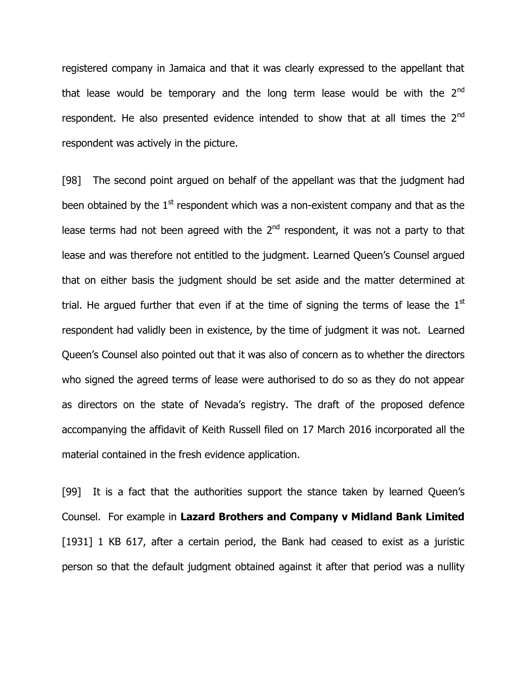registered company in Jamaica and that it was clearly expressed to the appellant that that lease would be temporary and the long term lease would be with the  $2<sup>nd</sup>$ respondent. He also presented evidence intended to show that at all times the 2<sup>nd</sup> respondent was actively in the picture.

[98] The second point argued on behalf of the appellant was that the judgment had been obtained by the  $1<sup>st</sup>$  respondent which was a non-existent company and that as the lease terms had not been agreed with the 2<sup>nd</sup> respondent, it was not a party to that lease and was therefore not entitled to the judgment. Learned Queen's Counsel argued that on either basis the judgment should be set aside and the matter determined at trial. He argued further that even if at the time of signing the terms of lease the  $1<sup>st</sup>$ respondent had validly been in existence, by the time of judgment it was not. Learned Queen"s Counsel also pointed out that it was also of concern as to whether the directors who signed the agreed terms of lease were authorised to do so as they do not appear as directors on the state of Nevada's registry. The draft of the proposed defence accompanying the affidavit of Keith Russell filed on 17 March 2016 incorporated all the material contained in the fresh evidence application.

[99] It is a fact that the authorities support the stance taken by learned Queen"s Counsel. For example in **Lazard Brothers and Company v Midland Bank Limited** [1931] 1 KB 617, after a certain period, the Bank had ceased to exist as a juristic person so that the default judgment obtained against it after that period was a nullity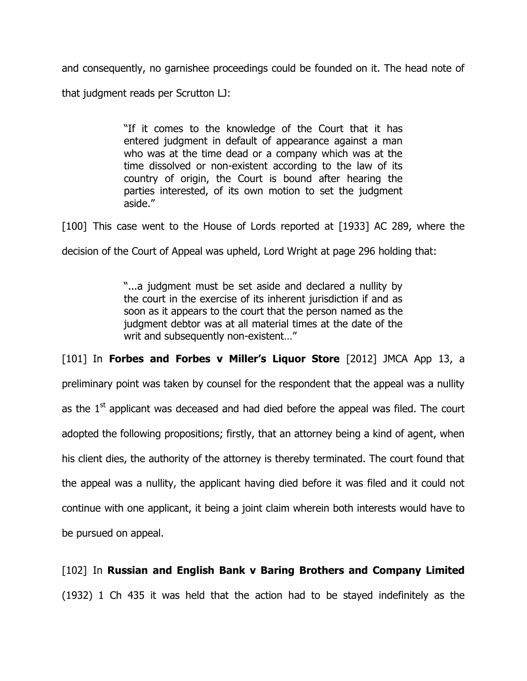and consequently, no garnishee proceedings could be founded on it. The head note of that judgment reads per Scrutton LJ:

> "If it comes to the knowledge of the Court that it has entered judgment in default of appearance against a man who was at the time dead or a company which was at the time dissolved or non-existent according to the law of its country of origin, the Court is bound after hearing the parties interested, of its own motion to set the judgment aside."

[100] This case went to the House of Lords reported at [1933] AC 289, where the

decision of the Court of Appeal was upheld, Lord Wright at page 296 holding that:

"...a judgment must be set aside and declared a nullity by the court in the exercise of its inherent jurisdiction if and as soon as it appears to the court that the person named as the judgment debtor was at all material times at the date of the writ and subsequently non-existent…"

[101] In **Forbes and Forbes v Miller's Liquor Store** [2012] JMCA App 13, a preliminary point was taken by counsel for the respondent that the appeal was a nullity as the  $1<sup>st</sup>$  applicant was deceased and had died before the appeal was filed. The court adopted the following propositions; firstly, that an attorney being a kind of agent, when his client dies, the authority of the attorney is thereby terminated. The court found that the appeal was a nullity, the applicant having died before it was filed and it could not continue with one applicant, it being a joint claim wherein both interests would have to be pursued on appeal.

[102] In **Russian and English Bank v Baring Brothers and Company Limited** (1932) 1 Ch 435 it was held that the action had to be stayed indefinitely as the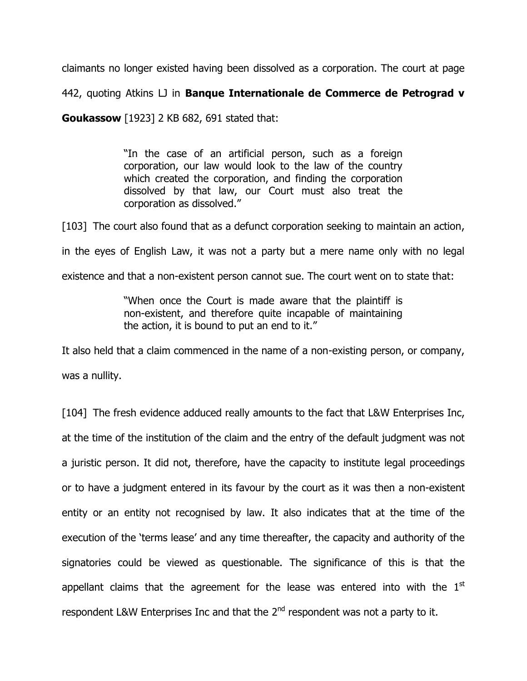claimants no longer existed having been dissolved as a corporation. The court at page

442, quoting Atkins LJ in **Banque Internationale de Commerce de Petrograd v** 

**Goukassow** [1923] 2 KB 682, 691 stated that:

"In the case of an artificial person, such as a foreign corporation, our law would look to the law of the country which created the corporation, and finding the corporation dissolved by that law, our Court must also treat the corporation as dissolved."

[103] The court also found that as a defunct corporation seeking to maintain an action,

in the eyes of English Law, it was not a party but a mere name only with no legal

existence and that a non-existent person cannot sue. The court went on to state that:

"When once the Court is made aware that the plaintiff is non-existent, and therefore quite incapable of maintaining the action, it is bound to put an end to it."

It also held that a claim commenced in the name of a non-existing person, or company, was a nullity.

[104] The fresh evidence adduced really amounts to the fact that L&W Enterprises Inc, at the time of the institution of the claim and the entry of the default judgment was not a juristic person. It did not, therefore, have the capacity to institute legal proceedings or to have a judgment entered in its favour by the court as it was then a non-existent entity or an entity not recognised by law. It also indicates that at the time of the execution of the "terms lease" and any time thereafter, the capacity and authority of the signatories could be viewed as questionable. The significance of this is that the appellant claims that the agreement for the lease was entered into with the  $1<sup>st</sup>$ respondent L&W Enterprises Inc and that the 2<sup>nd</sup> respondent was not a party to it.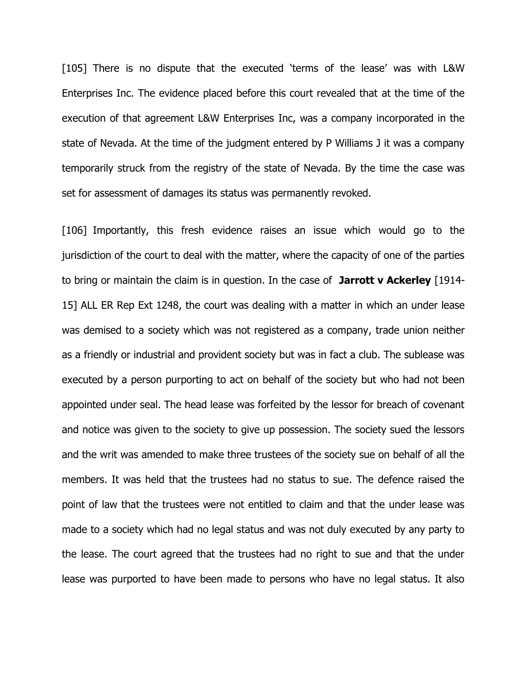[105] There is no dispute that the executed 'terms of the lease' was with L&W Enterprises Inc. The evidence placed before this court revealed that at the time of the execution of that agreement L&W Enterprises Inc, was a company incorporated in the state of Nevada. At the time of the judgment entered by P Williams J it was a company temporarily struck from the registry of the state of Nevada. By the time the case was set for assessment of damages its status was permanently revoked.

[106] Importantly, this fresh evidence raises an issue which would go to the jurisdiction of the court to deal with the matter, where the capacity of one of the parties to bring or maintain the claim is in question. In the case of **Jarrott v Ackerley** [1914- 15] ALL ER Rep Ext 1248, the court was dealing with a matter in which an under lease was demised to a society which was not registered as a company, trade union neither as a friendly or industrial and provident society but was in fact a club. The sublease was executed by a person purporting to act on behalf of the society but who had not been appointed under seal. The head lease was forfeited by the lessor for breach of covenant and notice was given to the society to give up possession. The society sued the lessors and the writ was amended to make three trustees of the society sue on behalf of all the members. It was held that the trustees had no status to sue. The defence raised the point of law that the trustees were not entitled to claim and that the under lease was made to a society which had no legal status and was not duly executed by any party to the lease. The court agreed that the trustees had no right to sue and that the under lease was purported to have been made to persons who have no legal status. It also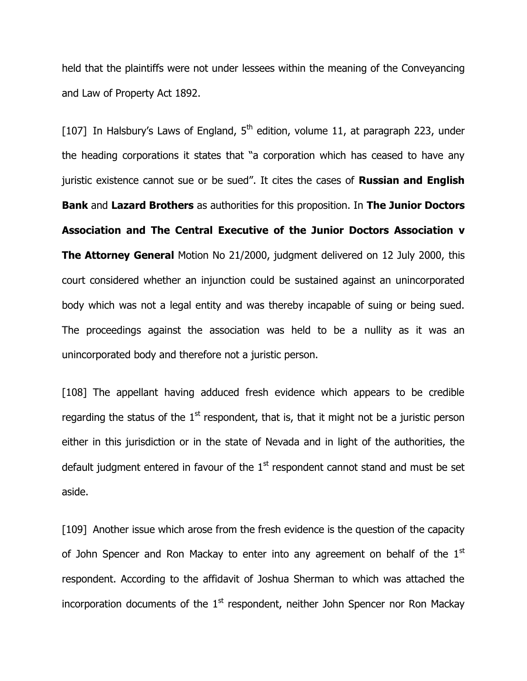held that the plaintiffs were not under lessees within the meaning of the Conveyancing and Law of Property Act 1892.

[107] In Halsbury's Laws of England,  $5<sup>th</sup>$  edition, volume 11, at paragraph 223, under the heading corporations it states that "a corporation which has ceased to have any juristic existence cannot sue or be sued". It cites the cases of **Russian and English Bank** and **Lazard Brothers** as authorities for this proposition. In **The Junior Doctors Association and The Central Executive of the Junior Doctors Association v The Attorney General** Motion No 21/2000, judgment delivered on 12 July 2000, this court considered whether an injunction could be sustained against an unincorporated body which was not a legal entity and was thereby incapable of suing or being sued. The proceedings against the association was held to be a nullity as it was an unincorporated body and therefore not a juristic person.

[108] The appellant having adduced fresh evidence which appears to be credible regarding the status of the  $1<sup>st</sup>$  respondent, that is, that it might not be a juristic person either in this jurisdiction or in the state of Nevada and in light of the authorities, the default judgment entered in favour of the  $1<sup>st</sup>$  respondent cannot stand and must be set aside.

[109] Another issue which arose from the fresh evidence is the question of the capacity of John Spencer and Ron Mackay to enter into any agreement on behalf of the  $1<sup>st</sup>$ respondent. According to the affidavit of Joshua Sherman to which was attached the incorporation documents of the  $1<sup>st</sup>$  respondent, neither John Spencer nor Ron Mackay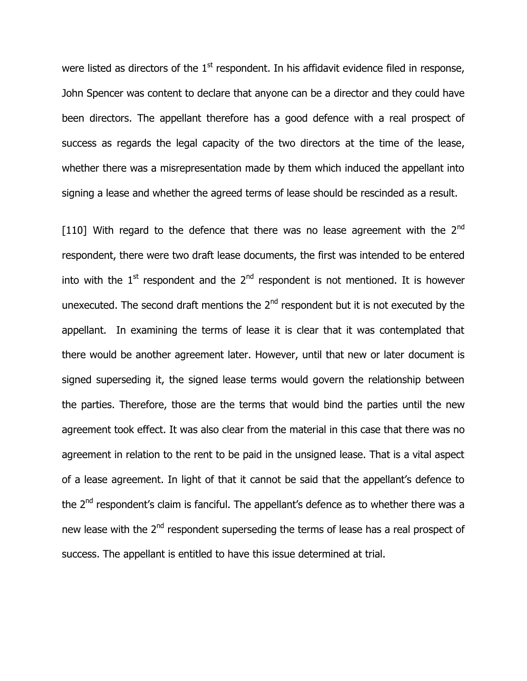were listed as directors of the  $1<sup>st</sup>$  respondent. In his affidavit evidence filed in response, John Spencer was content to declare that anyone can be a director and they could have been directors. The appellant therefore has a good defence with a real prospect of success as regards the legal capacity of the two directors at the time of the lease, whether there was a misrepresentation made by them which induced the appellant into signing a lease and whether the agreed terms of lease should be rescinded as a result.

[110] With regard to the defence that there was no lease agreement with the  $2<sup>nd</sup>$ respondent, there were two draft lease documents, the first was intended to be entered into with the  $1<sup>st</sup>$  respondent and the  $2<sup>nd</sup>$  respondent is not mentioned. It is however unexecuted. The second draft mentions the  $2<sup>nd</sup>$  respondent but it is not executed by the appellant. In examining the terms of lease it is clear that it was contemplated that there would be another agreement later. However, until that new or later document is signed superseding it, the signed lease terms would govern the relationship between the parties. Therefore, those are the terms that would bind the parties until the new agreement took effect. It was also clear from the material in this case that there was no agreement in relation to the rent to be paid in the unsigned lease. That is a vital aspect of a lease agreement. In light of that it cannot be said that the appellant"s defence to the  $2<sup>nd</sup>$  respondent's claim is fanciful. The appellant's defence as to whether there was a new lease with the 2<sup>nd</sup> respondent superseding the terms of lease has a real prospect of success. The appellant is entitled to have this issue determined at trial.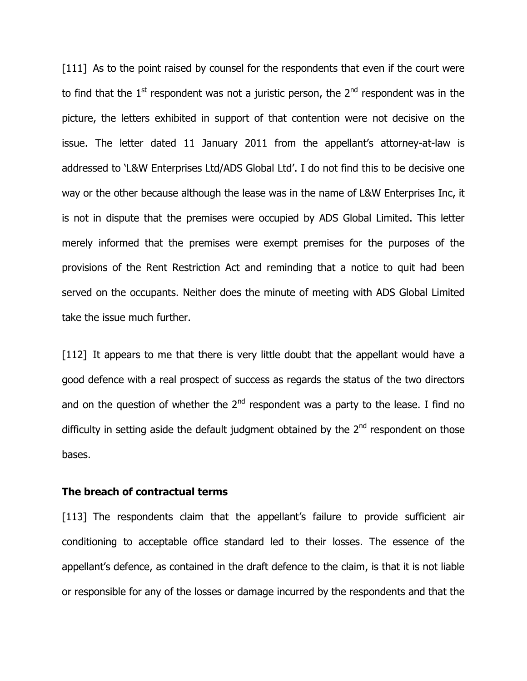[111] As to the point raised by counsel for the respondents that even if the court were to find that the  $1<sup>st</sup>$  respondent was not a juristic person, the  $2<sup>nd</sup>$  respondent was in the picture, the letters exhibited in support of that contention were not decisive on the issue. The letter dated 11 January 2011 from the appellant's attorney-at-law is addressed to "L&W Enterprises Ltd/ADS Global Ltd". I do not find this to be decisive one way or the other because although the lease was in the name of L&W Enterprises Inc, it is not in dispute that the premises were occupied by ADS Global Limited. This letter merely informed that the premises were exempt premises for the purposes of the provisions of the Rent Restriction Act and reminding that a notice to quit had been served on the occupants. Neither does the minute of meeting with ADS Global Limited take the issue much further.

[112] It appears to me that there is very little doubt that the appellant would have a good defence with a real prospect of success as regards the status of the two directors and on the question of whether the  $2<sup>nd</sup>$  respondent was a party to the lease. I find no difficulty in setting aside the default judgment obtained by the  $2<sup>nd</sup>$  respondent on those bases.

#### **The breach of contractual terms**

[113] The respondents claim that the appellant's failure to provide sufficient air conditioning to acceptable office standard led to their losses. The essence of the appellant's defence, as contained in the draft defence to the claim, is that it is not liable or responsible for any of the losses or damage incurred by the respondents and that the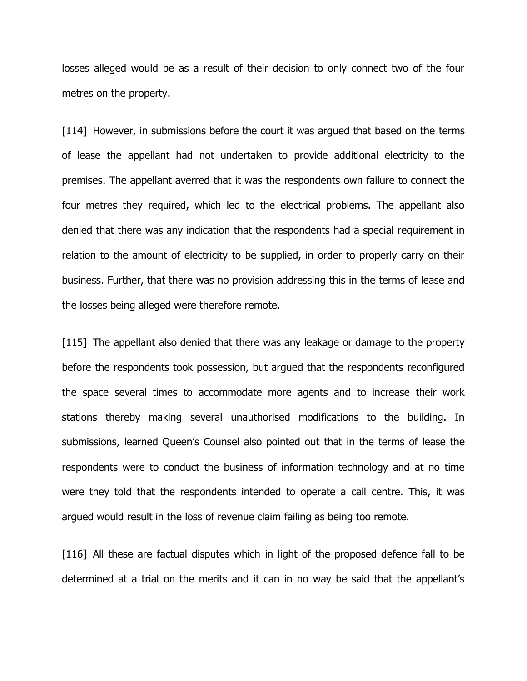losses alleged would be as a result of their decision to only connect two of the four metres on the property.

[114] However, in submissions before the court it was argued that based on the terms of lease the appellant had not undertaken to provide additional electricity to the premises. The appellant averred that it was the respondents own failure to connect the four metres they required, which led to the electrical problems. The appellant also denied that there was any indication that the respondents had a special requirement in relation to the amount of electricity to be supplied, in order to properly carry on their business. Further, that there was no provision addressing this in the terms of lease and the losses being alleged were therefore remote.

[115] The appellant also denied that there was any leakage or damage to the property before the respondents took possession, but argued that the respondents reconfigured the space several times to accommodate more agents and to increase their work stations thereby making several unauthorised modifications to the building. In submissions, learned Queen"s Counsel also pointed out that in the terms of lease the respondents were to conduct the business of information technology and at no time were they told that the respondents intended to operate a call centre. This, it was argued would result in the loss of revenue claim failing as being too remote.

[116] All these are factual disputes which in light of the proposed defence fall to be determined at a trial on the merits and it can in no way be said that the appellant"s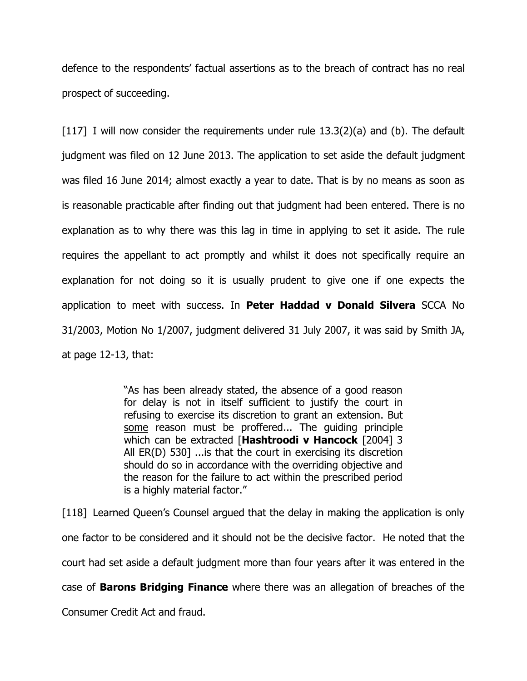defence to the respondents" factual assertions as to the breach of contract has no real prospect of succeeding.

[117] I will now consider the requirements under rule  $13.3(2)(a)$  and (b). The default judgment was filed on 12 June 2013. The application to set aside the default judgment was filed 16 June 2014; almost exactly a year to date. That is by no means as soon as is reasonable practicable after finding out that judgment had been entered. There is no explanation as to why there was this lag in time in applying to set it aside. The rule requires the appellant to act promptly and whilst it does not specifically require an explanation for not doing so it is usually prudent to give one if one expects the application to meet with success. In **Peter Haddad v Donald Silvera** SCCA No 31/2003, Motion No 1/2007, judgment delivered 31 July 2007, it was said by Smith JA, at page 12-13, that:

> "As has been already stated, the absence of a good reason for delay is not in itself sufficient to justify the court in refusing to exercise its discretion to grant an extension. But some reason must be proffered... The guiding principle which can be extracted [**Hashtroodi v Hancock** [2004] 3 All ER(D) 530] ...is that the court in exercising its discretion should do so in accordance with the overriding objective and the reason for the failure to act within the prescribed period is a highly material factor."

[118] Learned Queen"s Counsel argued that the delay in making the application is only one factor to be considered and it should not be the decisive factor. He noted that the court had set aside a default judgment more than four years after it was entered in the case of **Barons Bridging Finance** where there was an allegation of breaches of the Consumer Credit Act and fraud.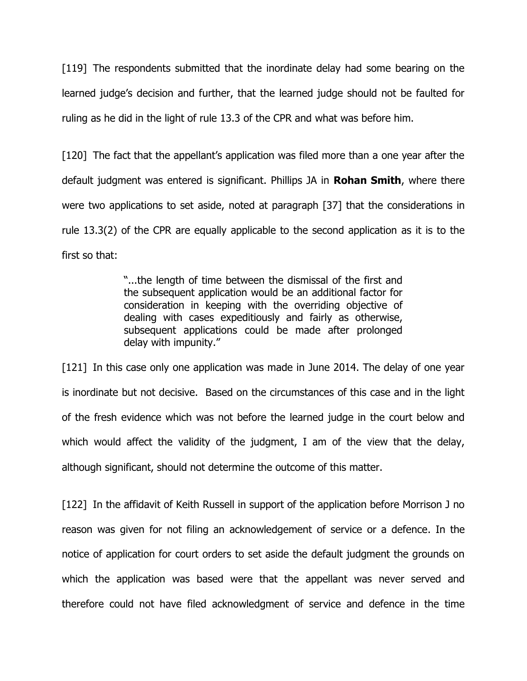[119] The respondents submitted that the inordinate delay had some bearing on the learned judge"s decision and further, that the learned judge should not be faulted for ruling as he did in the light of rule 13.3 of the CPR and what was before him.

[120] The fact that the appellant's application was filed more than a one year after the default judgment was entered is significant. Phillips JA in **Rohan Smith**, where there were two applications to set aside, noted at paragraph [37] that the considerations in rule 13.3(2) of the CPR are equally applicable to the second application as it is to the first so that:

> "...the length of time between the dismissal of the first and the subsequent application would be an additional factor for consideration in keeping with the overriding objective of dealing with cases expeditiously and fairly as otherwise, subsequent applications could be made after prolonged delay with impunity."

[121] In this case only one application was made in June 2014. The delay of one year is inordinate but not decisive. Based on the circumstances of this case and in the light of the fresh evidence which was not before the learned judge in the court below and which would affect the validity of the judgment, I am of the view that the delay, although significant, should not determine the outcome of this matter.

[122] In the affidavit of Keith Russell in support of the application before Morrison J no reason was given for not filing an acknowledgement of service or a defence. In the notice of application for court orders to set aside the default judgment the grounds on which the application was based were that the appellant was never served and therefore could not have filed acknowledgment of service and defence in the time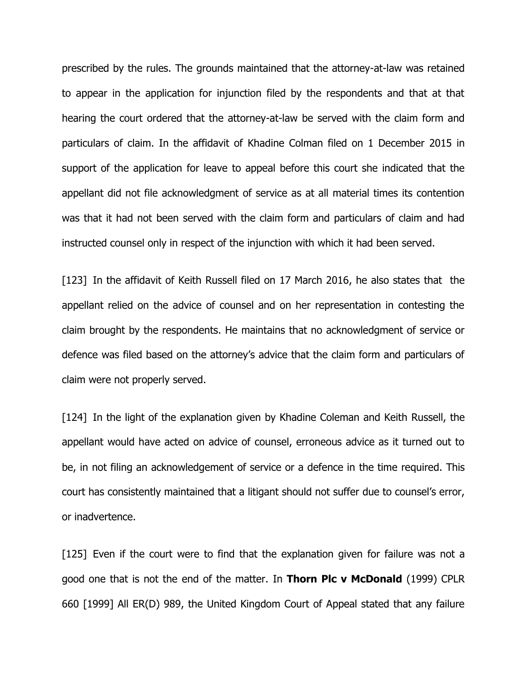prescribed by the rules. The grounds maintained that the attorney-at-law was retained to appear in the application for injunction filed by the respondents and that at that hearing the court ordered that the attorney-at-law be served with the claim form and particulars of claim. In the affidavit of Khadine Colman filed on 1 December 2015 in support of the application for leave to appeal before this court she indicated that the appellant did not file acknowledgment of service as at all material times its contention was that it had not been served with the claim form and particulars of claim and had instructed counsel only in respect of the injunction with which it had been served.

[123] In the affidavit of Keith Russell filed on 17 March 2016, he also states that the appellant relied on the advice of counsel and on her representation in contesting the claim brought by the respondents. He maintains that no acknowledgment of service or defence was filed based on the attorney's advice that the claim form and particulars of claim were not properly served.

[124] In the light of the explanation given by Khadine Coleman and Keith Russell, the appellant would have acted on advice of counsel, erroneous advice as it turned out to be, in not filing an acknowledgement of service or a defence in the time required. This court has consistently maintained that a litigant should not suffer due to counsel"s error, or inadvertence.

[125] Even if the court were to find that the explanation given for failure was not a good one that is not the end of the matter. In **Thorn Plc v McDonald** (1999) CPLR 660 [1999] All ER(D) 989, the United Kingdom Court of Appeal stated that any failure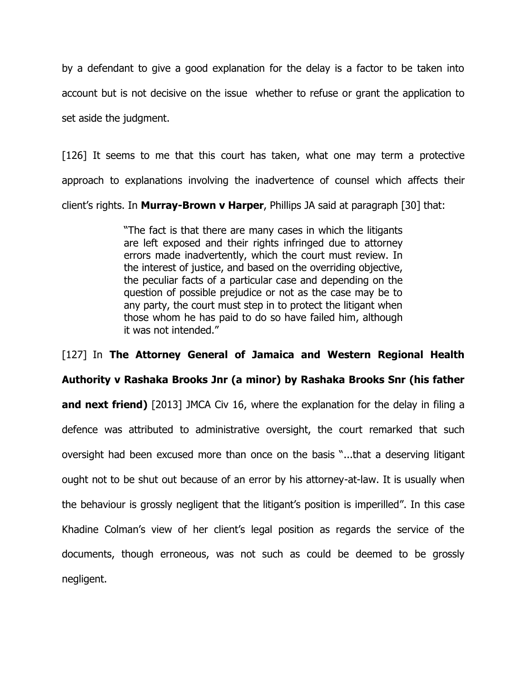by a defendant to give a good explanation for the delay is a factor to be taken into account but is not decisive on the issue whether to refuse or grant the application to set aside the judgment.

[126] It seems to me that this court has taken, what one may term a protective approach to explanations involving the inadvertence of counsel which affects their client"s rights. In **Murray-Brown v Harper**, Phillips JA said at paragraph [30] that:

> "The fact is that there are many cases in which the litigants are left exposed and their rights infringed due to attorney errors made inadvertently, which the court must review. In the interest of justice, and based on the overriding objective, the peculiar facts of a particular case and depending on the question of possible prejudice or not as the case may be to any party, the court must step in to protect the litigant when those whom he has paid to do so have failed him, although it was not intended."

[127] In **The Attorney General of Jamaica and Western Regional Health Authority v Rashaka Brooks Jnr (a minor) by Rashaka Brooks Snr (his father and next friend)** [2013] JMCA Civ 16, where the explanation for the delay in filing a defence was attributed to administrative oversight, the court remarked that such oversight had been excused more than once on the basis "...that a deserving litigant ought not to be shut out because of an error by his attorney-at-law. It is usually when the behaviour is grossly negligent that the litigant's position is imperilled". In this case Khadine Colman's view of her client's legal position as regards the service of the documents, though erroneous, was not such as could be deemed to be grossly negligent.